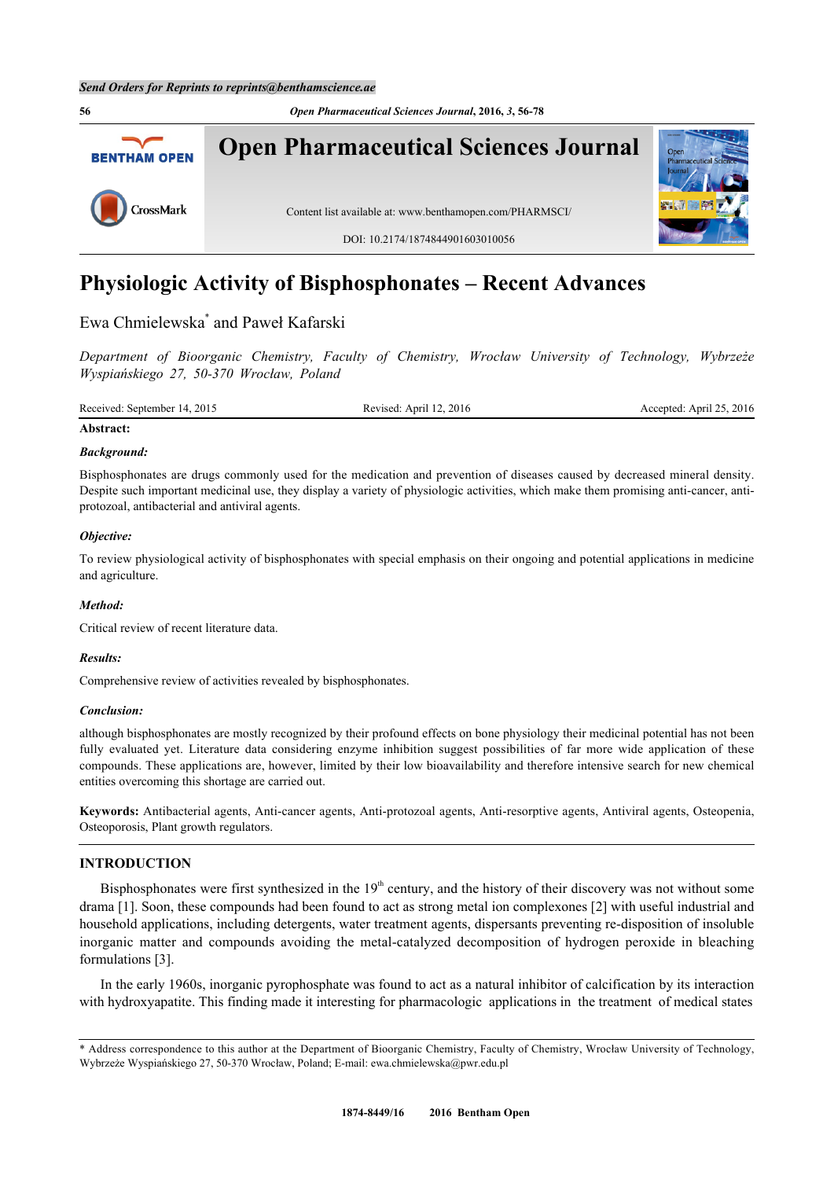**56** *Open Pharmaceutical Sciences Journal***, 2016,** *3***, 56-78 Open Pharmaceutical Sciences Journal BENTHAM OPEN** CrossMark Content list available at: [www.benthamopen.com/PHARMSCI/](http://www.benthamopen.com/PHARMSCI/) DOI: [10.2174/1874844901603010056](http://dx.doi.org/10.2174/1874844901603010056)

# **Physiologic Activity of Bisphosphonates – Recent Advances**

Ewa Chmielewska[\\*](#page-0-0) and Paweł Kafarski

*Department of Bioorganic Chemistry, Faculty of Chemistry, Wrocław University of Technology, Wybrzeże Wyspiańskiego 27, 50-370 Wrocław, Poland*

| Receive<br>2015<br>September | 2016<br>ADIT<br>$\alpha$<br>$\mathbf{a}$ | ີ<br>. .<br>\nri<br>41<br>−11. |
|------------------------------|------------------------------------------|--------------------------------|
|                              |                                          |                                |

# **Abstract:**

# *Background:*

Bisphosphonates are drugs commonly used for the medication and prevention of diseases caused by decreased mineral density. Despite such important medicinal use, they display a variety of physiologic activities, which make them promising anti-cancer, antiprotozoal, antibacterial and antiviral agents.

# *Objective:*

To review physiological activity of bisphosphonates with special emphasis on their ongoing and potential applications in medicine and agriculture.

### *Method:*

Critical review of recent literature data.

### *Results:*

Comprehensive review of activities revealed by bisphosphonates.

### *Conclusion:*

although bisphosphonates are mostly recognized by their profound effects on bone physiology their medicinal potential has not been fully evaluated yet. Literature data considering enzyme inhibition suggest possibilities of far more wide application of these compounds. These applications are, however, limited by their low bioavailability and therefore intensive search for new chemical entities overcoming this shortage are carried out.

**Keywords:** Antibacterial agents, Anti-cancer agents, Anti-protozoal agents, Anti-resorptive agents, Antiviral agents, Osteopenia, Osteoporosis, Plant growth regulators.

# **INTRODUCTION**

Bisphosphonates were first synthesized in the  $19<sup>th</sup>$  century, and the history of their discovery was not without some drama [[1\]](#page-12-0). Soon, these compounds had been found to act as strong metal ion complexones [\[2](#page-12-1)] with useful industrial and household applications, including detergents, water treatment agents, dispersants preventing re-disposition of insoluble inorganic matter and compounds avoiding the metal-catalyzed decomposition of hydrogen peroxide in bleaching formulations [[3\]](#page-12-2).

In the early 1960s, inorganic pyrophosphate was found to act as a natural inhibitor of calcification by its interaction with hydroxyapatite. This finding made it interesting for pharmacologic applications in the treatment of medical states

<span id="page-0-0"></span><sup>\*</sup> Address correspondence to this author at the Department of Bioorganic Chemistry, Faculty of Chemistry, Wrocław University of Technology, Wybrzeże Wyspiańskiego 27, 50-370 Wrocław, Poland; E-mail: [ewa.chmielewska@pwr.edu.pl](mailto:ewa.chmielewska@pwr.edu.pl)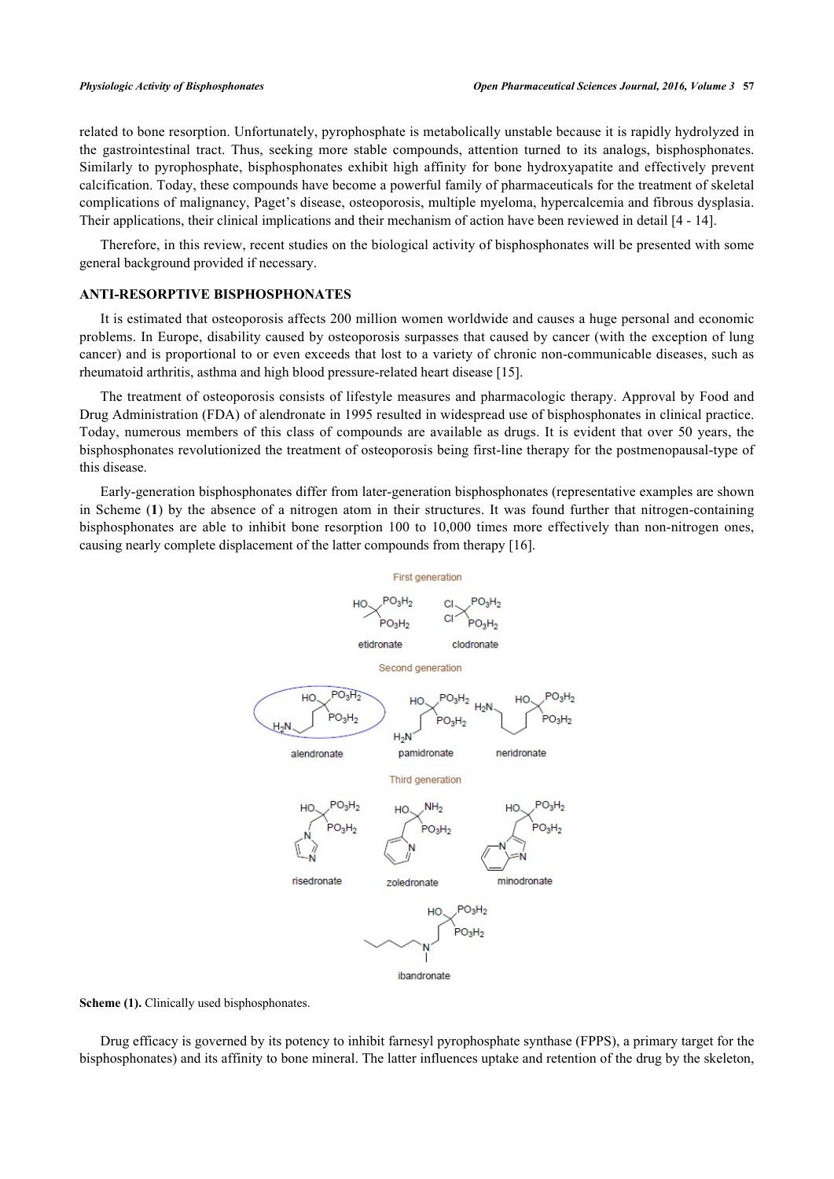related to bone resorption. Unfortunately, pyrophosphate is metabolically unstable because it is rapidly hydrolyzed in the gastrointestinal tract. Thus, seeking more stable compounds, attention turned to its analogs, bisphosphonates. Similarly to pyrophosphate, bisphosphonates exhibit high affinity for bone hydroxyapatite and effectively prevent calcification. Today, these compounds have become a powerful family of pharmaceuticals for the treatment of skeletal complications of malignancy, Paget's disease, osteoporosis, multiple myeloma, hypercalcemia and fibrous dysplasia. Their applications, their clinical implications and their mechanism of action have been reviewed in detail [[4](#page-12-3) - [14](#page-12-4)].

Therefore, in this review, recent studies on the biological activity of bisphosphonates will be presented with some general background provided if necessary.

#### **ANTI-RESORPTIVE BISPHOSPHONATES**

It is estimated that osteoporosis affects 200 million women worldwide and causes a huge personal and economic problems. In Europe, disability caused by osteoporosis surpasses that caused by cancer (with the exception of lung cancer) and is proportional to or even exceeds that lost to a variety of chronic non-communicable diseases, such as rheumatoid arthritis, asthma and high blood pressure-related heart disease [[15\]](#page-12-5).

The treatment of osteoporosis consists of lifestyle measures and pharmacologic therapy. Approval by Food and Drug Administration (FDA) of alendronate in 1995 resulted in widespread use of bisphosphonates in clinical practice. Today, numerous members of this class of compounds are available as drugs. It is evident that over 50 years, the bisphosphonates revolutionized the treatment of osteoporosis being first-line therapy for the postmenopausal-type of this disease.

<span id="page-1-0"></span>Early-generation bisphosphonates differ from later-generation bisphosphonates (representative examples are shown in Scheme (**[1](#page-1-0)**) by the absence of a nitrogen atom in their structures. It was found further that nitrogen-containing bisphosphonates are able to inhibit bone resorption 100 to 10,000 times more effectively than non-nitrogen ones, causing nearly complete displacement of the latter compounds from therapy [[16\]](#page-12-6).



**Scheme (1).** Clinically used bisphosphonates.

Drug efficacy is governed by its potency to inhibit farnesyl pyrophosphate synthase (FPPS), a primary target for the bisphosphonates) and its affinity to bone mineral. The latter influences uptake and retention of the drug by the skeleton,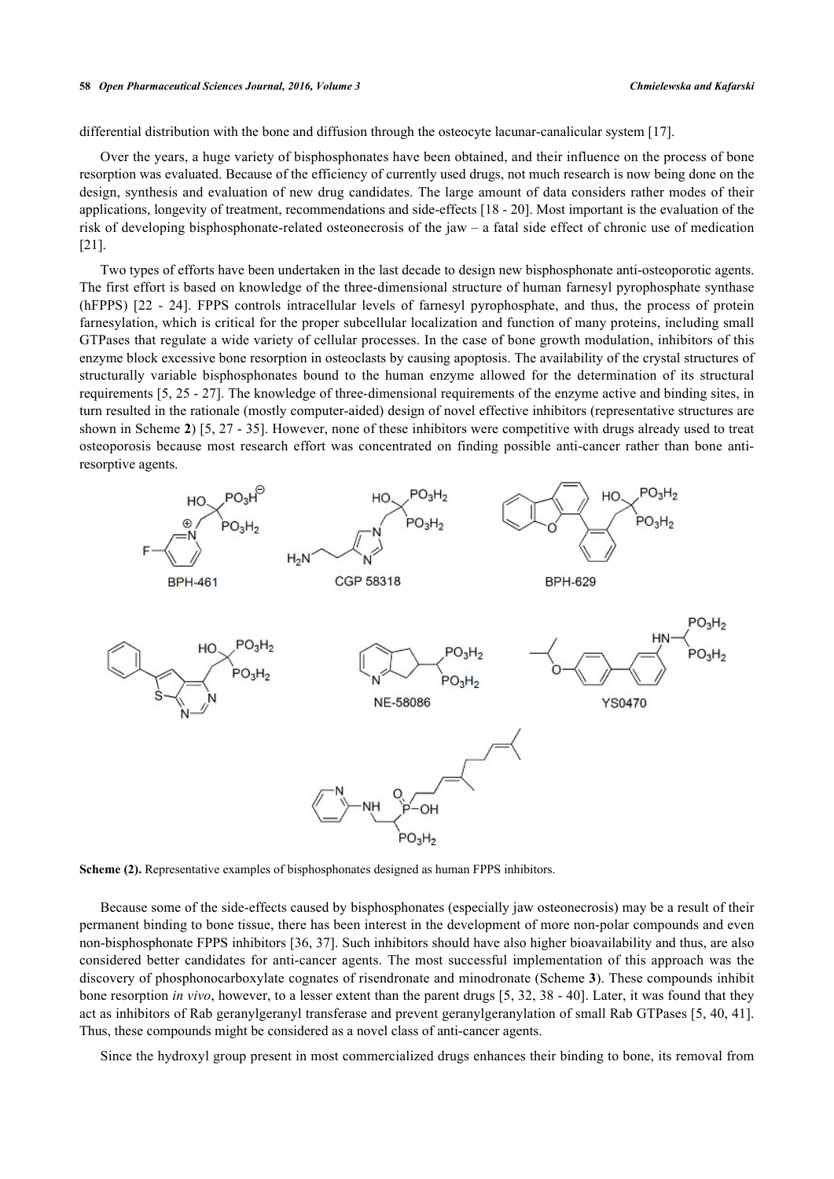differential distribution with the bone and diffusion through the osteocyte lacunar-canalicular system [\[17](#page-12-7)].

Over the years, a huge variety of bisphosphonates have been obtained, and their influence on the process of bone resorption was evaluated. Because of the efficiency of currently used drugs, not much research is now being done on the design, synthesis and evaluation of new drug candidates. The large amount of data considers rather modes of their applications, longevity of treatment, recommendations and side-effects [\[18](#page-13-0) - [20\]](#page-13-1). Most important is the evaluation of the risk of developing bisphosphonate-related osteonecrosis of the jaw – a fatal side effect of chronic use of medication [\[21](#page-13-2)].

Two types of efforts have been undertaken in the last decade to design new bisphosphonate anti-osteoporotic agents. The first effort is based on knowledge of the three-dimensional structure of human farnesyl pyrophosphate synthase (hFPPS)[[22](#page-13-3) - [24\]](#page-13-4). FPPS controls intracellular levels of farnesyl pyrophosphate, and thus, the process of protein farnesylation, which is critical for the proper subcellular localization and function of many proteins, including small GTPases that regulate a wide variety of cellular processes. In the case of bone growth modulation, inhibitors of this enzyme block excessive bone resorption in osteoclasts by causing apoptosis. The availability of the crystal structures of structurally variable bisphosphonates bound to the human enzyme allowed for the determination of its structural requirements [\[5](#page-12-8), [25](#page-13-5) - [27](#page-13-6)]. The knowledge of three-dimensional requirements of the enzyme active and binding sites, in turn resulted in the rationale (mostly computer-aided) design of novel effective inhibitors (representative structures are shown in Scheme **[2](#page-2-0)**) [\[5](#page-12-8), [27](#page-13-6) - [35\]](#page-13-7). However, none of these inhibitors were competitive with drugs already used to treat osteoporosis because most research effort was concentrated on finding possible anti-cancer rather than bone antiresorptive agents.

<span id="page-2-0"></span>

**Scheme (2).** Representative examples of bisphosphonates designed as human FPPS inhibitors.

Because some of the side-effects caused by bisphosphonates (especially jaw osteonecrosis) may be a result of their permanent binding to bone tissue, there has been interest in the development of more non-polar compounds and even non-bisphosphonate FPPS inhibitors [\[36](#page-13-8), [37\]](#page-13-9). Such inhibitors should have also higher bioavailability and thus, are also considered better candidates for anti-cancer agents. The most successful implementation of this approach was the discovery of phosphonocarboxylate cognates of risendronate and minodronate (Scheme **[3](#page-3-0)**). These compounds inhibit bone resorption *in vivo*, however, to a lesser extent than the parent drugs [[5,](#page-12-8) [32](#page-13-10), [38](#page-14-0) - [40](#page-14-1)]. Later, it was found that they act as inhibitors of Rab geranylgeranyl transferase and prevent geranylgeranylation of small Rab GTPases [[5,](#page-12-8) [40](#page-14-1), [41\]](#page-14-2). Thus, these compounds might be considered as a novel class of anti-cancer agents.

Since the hydroxyl group present in most commercialized drugs enhances their binding to bone, its removal from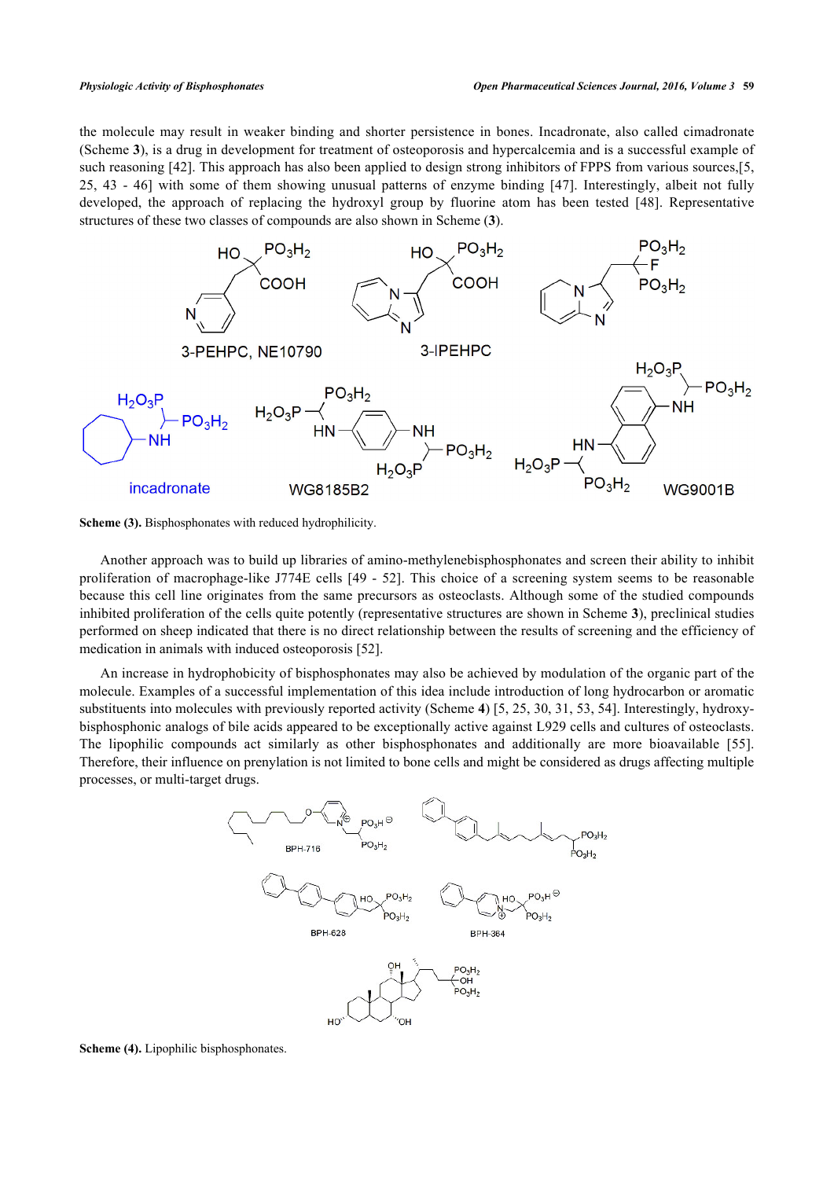the molecule may result in weaker binding and shorter persistence in bones. Incadronate, also called cimadronate (Scheme **[3](#page-3-0)**), is a drug in development for treatment of osteoporosis and hypercalcemia and is a successful example of such reasoning [[42\]](#page-14-3). This approach has also been applied to design strong inhibitors of FPPS from various sources,[[5](#page-12-8), [25,](#page-13-5) [43](#page-14-4) - [46\]](#page-14-5) with some of them showing unusual patterns of enzyme binding [\[47\]](#page-14-6). Interestingly, albeit not fully developed, the approach of replacing the hydroxyl group by fluorine atom has been tested[[48](#page-14-7)]. Representative structures of these two classes of compounds are also shown in Scheme (**[3](#page-3-0)**).

<span id="page-3-0"></span>

**Scheme (3).** Bisphosphonates with reduced hydrophilicity.

Another approach was to build up libraries of amino-methylenebisphosphonates and screen their ability to inhibit proliferation of macrophage-like J774E cells [[49](#page-14-8) - [52](#page-14-9)]. This choice of a screening system seems to be reasonable because this cell line originates from the same precursors as osteoclasts. Although some of the studied compounds inhibited proliferation of the cells quite potently (representative structures are shown in Scheme **[3](#page-3-0)**), preclinical studies performed on sheep indicated that there is no direct relationship between the results of screening and the efficiency of medication in animals with induced osteoporosis [[52\]](#page-14-9).

<span id="page-3-1"></span>An increase in hydrophobicity of bisphosphonates may also be achieved by modulation of the organic part of the molecule. Examples of a successful implementation of this idea include introduction of long hydrocarbon or aromatic substituents into molecules with previously reported activity (Scheme **[4](#page-3-1)**) [[5,](#page-12-8) [25](#page-13-5), [30](#page-13-11), [31,](#page-13-12) [53,](#page-14-10) [54](#page-14-11)]. Interestingly, hydroxybisphosphonic analogs of bile acids appeared to be exceptionally active against L929 cells and cultures of osteoclasts. The lipophilic compounds act similarly as other bisphosphonates and additionally are more bioavailable [\[55\]](#page-14-12). Therefore, their influence on prenylation is not limited to bone cells and might be considered as drugs affecting multiple processes, or multi-target drugs.



**Scheme (4).** Lipophilic bisphosphonates.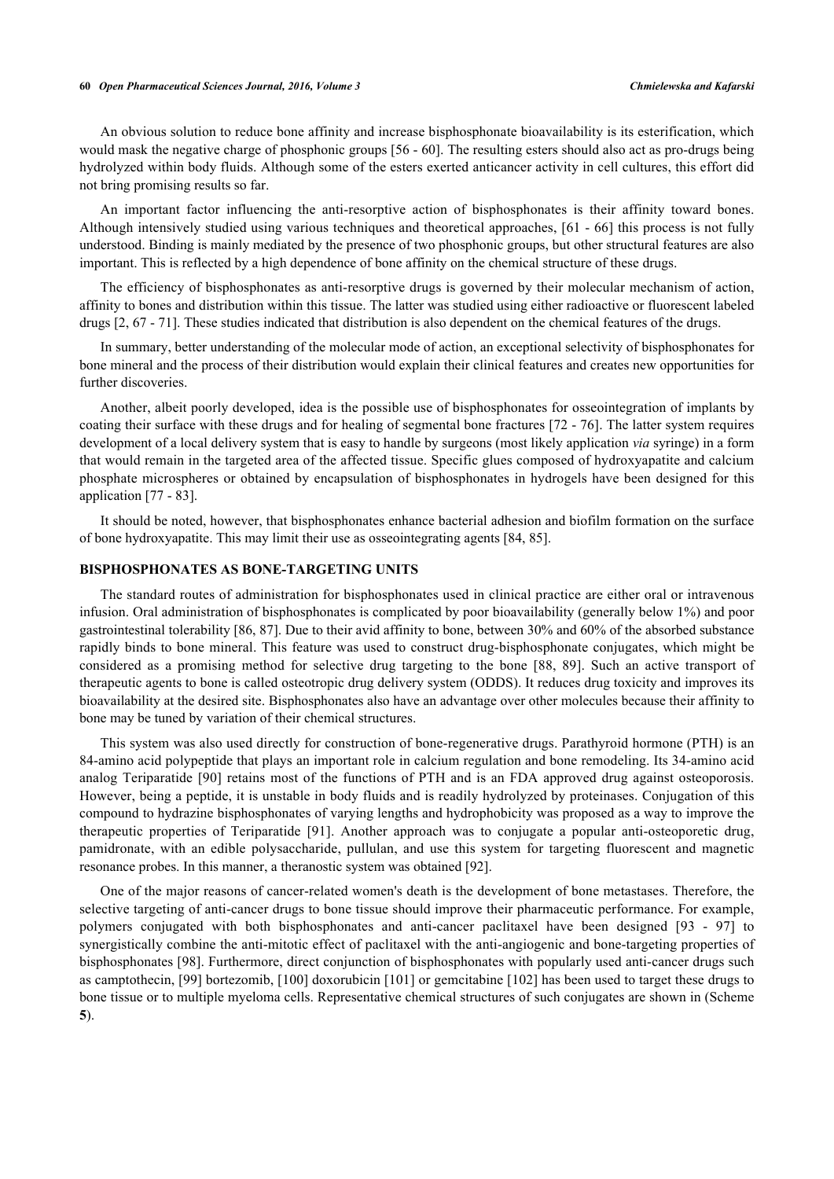#### **60** *Open Pharmaceutical Sciences Journal, 2016, Volume 3 Chmielewska and Kafarski*

An obvious solution to reduce bone affinity and increase bisphosphonate bioavailability is its esterification, which would mask the negative charge of phosphonic groups [\[56](#page-14-13) - [60](#page-15-0)]. The resulting esters should also act as pro-drugs being hydrolyzed within body fluids. Although some of the esters exerted anticancer activity in cell cultures, this effort did not bring promising results so far.

An important factor influencing the anti-resorptive action of bisphosphonates is their affinity toward bones. Although intensively studied using various techniques and theoretical approaches, [\[61](#page-15-1) - [66\]](#page-15-2) this process is not fully understood. Binding is mainly mediated by the presence of two phosphonic groups, but other structural features are also important. This is reflected by a high dependence of bone affinity on the chemical structure of these drugs.

The efficiency of bisphosphonates as anti-resorptive drugs is governed by their molecular mechanism of action, affinity to bones and distribution within this tissue. The latter was studied using either radioactive or fluorescent labeled drugs [[2,](#page-12-1) [67](#page-15-3) - [71](#page-15-4)]. These studies indicated that distribution is also dependent on the chemical features of the drugs.

In summary, better understanding of the molecular mode of action, an exceptional selectivity of bisphosphonates for bone mineral and the process of their distribution would explain their clinical features and creates new opportunities for further discoveries.

Another, albeit poorly developed, idea is the possible use of bisphosphonates for osseointegration of implants by coating their surface with these drugs and for healing of segmental bone fractures [\[72](#page-15-5) - [76](#page-15-6)]. The latter system requires development of a local delivery system that is easy to handle by surgeons (most likely application *via* syringe) in a form that would remain in the targeted area of the affected tissue. Specific glues composed of hydroxyapatite and calcium phosphate microspheres or obtained by encapsulation of bisphosphonates in hydrogels have been designed for this application [[77](#page-16-0) - [83](#page-16-1)].

It should be noted, however, that bisphosphonates enhance bacterial adhesion and biofilm formation on the surface of bone hydroxyapatite. This may limit their use as osseointegrating agents [[84,](#page-16-2) [85\]](#page-16-3).

#### **BISPHOSPHONATES AS BONE-TARGETING UNITS**

The standard routes of administration for bisphosphonates used in clinical practice are either oral or intravenous infusion. Oral administration of bisphosphonates is complicated by poor bioavailability (generally below 1%) and poor gastrointestinal tolerability [\[86](#page-16-4), [87](#page-16-5)]. Due to their avid affinity to bone, between 30% and 60% of the absorbed substance rapidly binds to bone mineral. This feature was used to construct drug-bisphosphonate conjugates, which might be considered as a promising method for selective drug targeting to the bone [\[88,](#page-16-6) [89\]](#page-16-7). Such an active transport of therapeutic agents to bone is called osteotropic drug delivery system (ODDS). It reduces drug toxicity and improves its bioavailability at the desired site. Bisphosphonates also have an advantage over other molecules because their affinity to bone may be tuned by variation of their chemical structures.

This system was also used directly for construction of bone-regenerative drugs. Parathyroid hormone (PTH) is an 84-amino acid polypeptide that plays an important role in calcium regulation and bone remodeling. Its 34-amino acid analog Teriparatide [[90\]](#page-16-8) retains most of the functions of PTH and is an FDA approved drug against osteoporosis. However, being a peptide, it is unstable in body fluids and is readily hydrolyzed by proteinases. Conjugation of this compound to hydrazine bisphosphonates of varying lengths and hydrophobicity was proposed as a way to improve the therapeutic properties of Teriparatide[[91\]](#page-16-9). Another approach was to conjugate a popular anti-osteoporetic drug, pamidronate, with an edible polysaccharide, pullulan, and use this system for targeting fluorescent and magnetic resonance probes. In this manner, a theranostic system was obtained [[92\]](#page-16-10).

<span id="page-4-0"></span>One of the major reasons of cancer-related women's death is the development of bone metastases. Therefore, the selective targeting of anti-cancer drugs to bone tissue should improve their pharmaceutic performance. For example, polymers conjugated with both bisphosphonates and anti-cancer paclitaxel have been designed[[93](#page-16-11) - [97](#page-17-0)] to synergistically combine the anti-mitotic effect of paclitaxel with the anti-angiogenic and bone-targeting properties of bisphosphonates [[98](#page-17-1)]. Furthermore, direct conjunction of bisphosphonates with popularly used anti-cancer drugs such as camptothecin, [[99\]](#page-17-2) bortezomib, [[100\]](#page-17-3) doxorubicin [[101\]](#page-17-4) or gemcitabine [[102\]](#page-17-5) has been used to target these drugs to bone tissue or to multiple myeloma cells. Representative chemical structures of such conjugates are shown in (Scheme **[5](#page-4-0)**).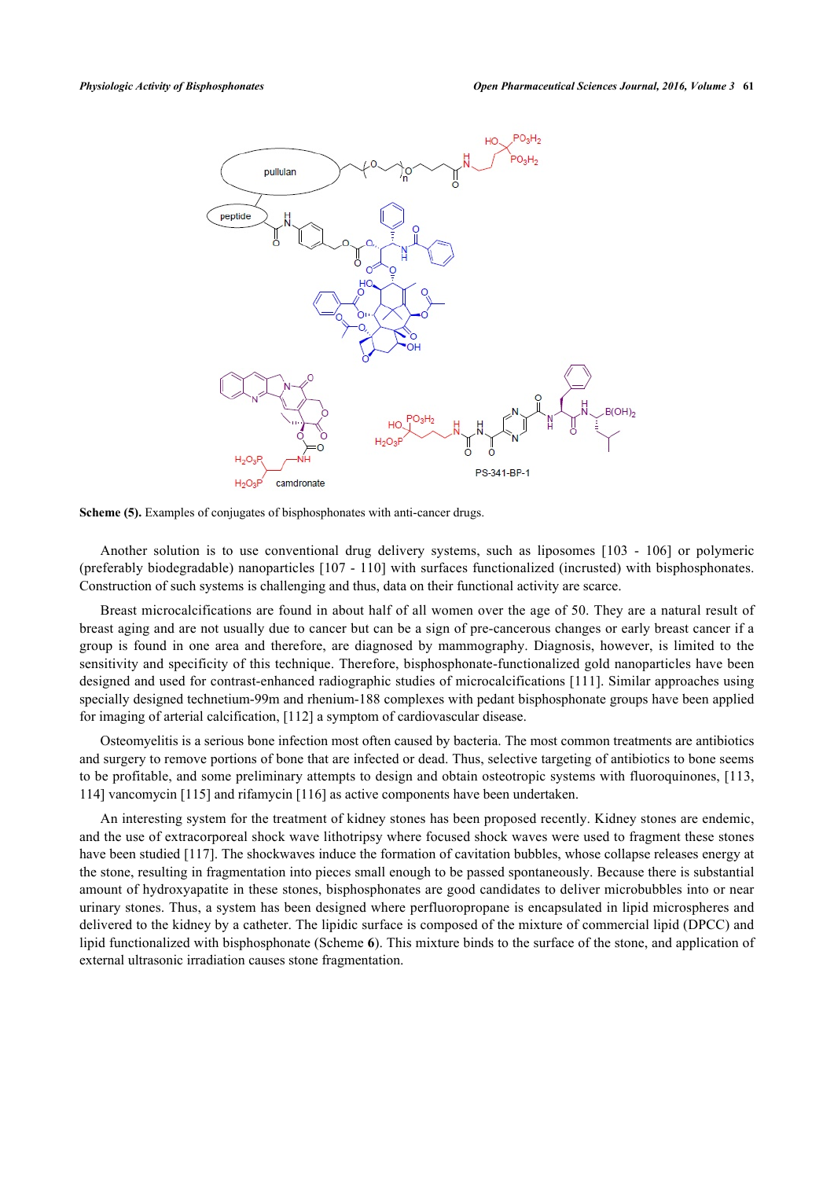



Another solution is to use conventional drug delivery systems, such as liposomes[[103](#page-17-6) - [106](#page-17-7)] or polymeric (preferably biodegradable) nanoparticles [[107](#page-17-8) - [110](#page-17-9)] with surfaces functionalized (incrusted) with bisphosphonates. Construction of such systems is challenging and thus, data on their functional activity are scarce.

Breast microcalcifications are found in about half of all women over the age of 50. They are a natural result of breast aging and are not usually due to cancer but can be a sign of pre-cancerous changes or early breast cancer if a group is found in one area and therefore, are diagnosed by mammography. Diagnosis, however, is limited to the sensitivity and specificity of this technique. Therefore, bisphosphonate-functionalized gold nanoparticles have been designed and used for contrast-enhanced radiographic studies of microcalcifications [\[111](#page-17-10)]. Similar approaches using specially designed technetium-99m and rhenium-188 complexes with pedant bisphosphonate groups have been applied for imaging of arterial calcification, [[112\]](#page-17-11) a symptom of cardiovascular disease.

Osteomyelitis is a serious bone infection most often caused by bacteria. The most common treatments are antibiotics and surgery to remove portions of bone that are infected or dead. Thus, selective targeting of antibiotics to bone seems to be profitable, and some preliminary attempts to design and obtain osteotropic systems with fluoroquinones, [[113](#page-17-12), [114\]](#page-17-13) vancomycin [\[115](#page-17-14)] and rifamycin [[116\]](#page-18-0) as active components have been undertaken.

<span id="page-5-0"></span>An interesting system for the treatment of kidney stones has been proposed recently. Kidney stones are endemic, and the use of extracorporeal shock wave lithotripsy where focused shock waves were used to fragment these stones have been studied [[117\]](#page-18-1). The shockwaves induce the formation of cavitation bubbles, whose collapse releases energy at the stone, resulting in fragmentation into pieces small enough to be passed spontaneously. Because there is substantial amount of hydroxyapatite in these stones, bisphosphonates are good candidates to deliver microbubbles into or near urinary stones. Thus, a system has been designed where perfluoropropane is encapsulated in lipid microspheres and delivered to the kidney by a catheter. The lipidic surface is composed of the mixture of commercial lipid (DPCC) and lipid functionalized with bisphosphonate (Scheme **[6](#page-5-0)**). This mixture binds to the surface of the stone, and application of external ultrasonic irradiation causes stone fragmentation.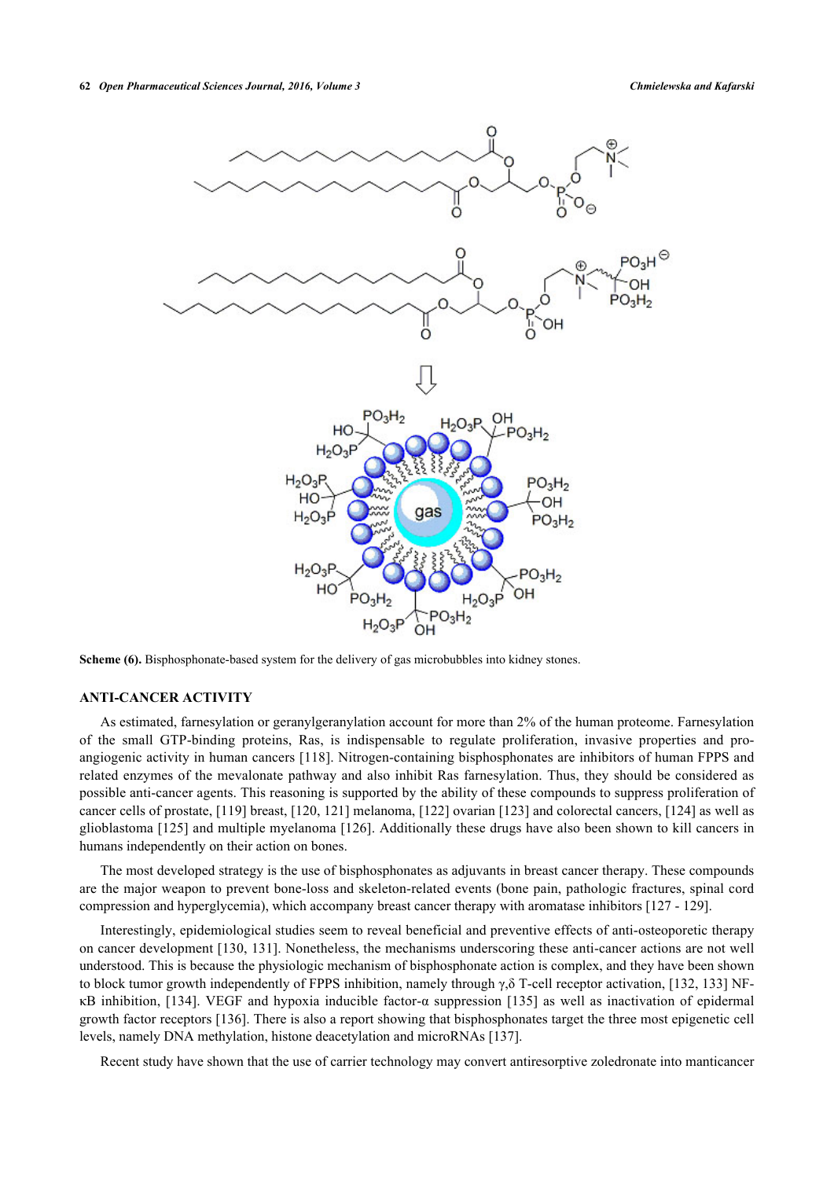

**Scheme (6).** Bisphosphonate-based system for the delivery of gas microbubbles into kidney stones.

# **ANTI-CANCER ACTIVITY**

As estimated, farnesylation or geranylgeranylation account for more than 2% of the human proteome. Farnesylation of the small GTP-binding proteins, Ras, is indispensable to regulate proliferation, invasive properties and proangiogenic activity in human cancers [\[118\]](#page-18-2). Nitrogen-containing bisphosphonates are inhibitors of human FPPS and related enzymes of the mevalonate pathway and also inhibit Ras farnesylation. Thus, they should be considered as possible anti-cancer agents. This reasoning is supported by the ability of these compounds to suppress proliferation of cancer cells of prostate, [[119\]](#page-18-3) breast, [\[120](#page-18-4), [121](#page-18-5)] melanoma, [[122\]](#page-18-6) ovarian [[123\]](#page-18-7) and colorectal cancers, [\[124](#page-18-8)] as well as glioblastoma [[125](#page-18-9)] and multiple myelanoma [[126\]](#page-18-10). Additionally these drugs have also been shown to kill cancers in humans independently on their action on bones.

The most developed strategy is the use of bisphosphonates as adjuvants in breast cancer therapy. These compounds are the major weapon to prevent bone-loss and skeleton-related events (bone pain, pathologic fractures, spinal cord compression and hyperglycemia), which accompany breast cancer therapy with aromatase inhibitors [\[127](#page-18-11) - [129\]](#page-18-12).

Interestingly, epidemiological studies seem to reveal beneficial and preventive effects of anti-osteoporetic therapy on cancer development [[130](#page-18-13), [131\]](#page-18-14). Nonetheless, the mechanisms underscoring these anti-cancer actions are not well understood. This is because the physiologic mechanism of bisphosphonate action is complex, and they have been shown to block tumor growth independently of FPPS inhibition, namely through γ,δ T-cell receptor activation, [[132](#page-18-15), [133](#page-18-16)] NFκB inhibition, [[134](#page-18-17)]. VEGF and hypoxia inducible factor-α suppression [\[135\]](#page-18-18) as well as inactivation of epidermal growth factor receptors [\[136](#page-19-0)]. There is also a report showing that bisphosphonates target the three most epigenetic cell levels, namely DNA methylation, histone deacetylation and microRNAs [\[137](#page-19-1)].

Recent study have shown that the use of carrier technology may convert antiresorptive zoledronate into manticancer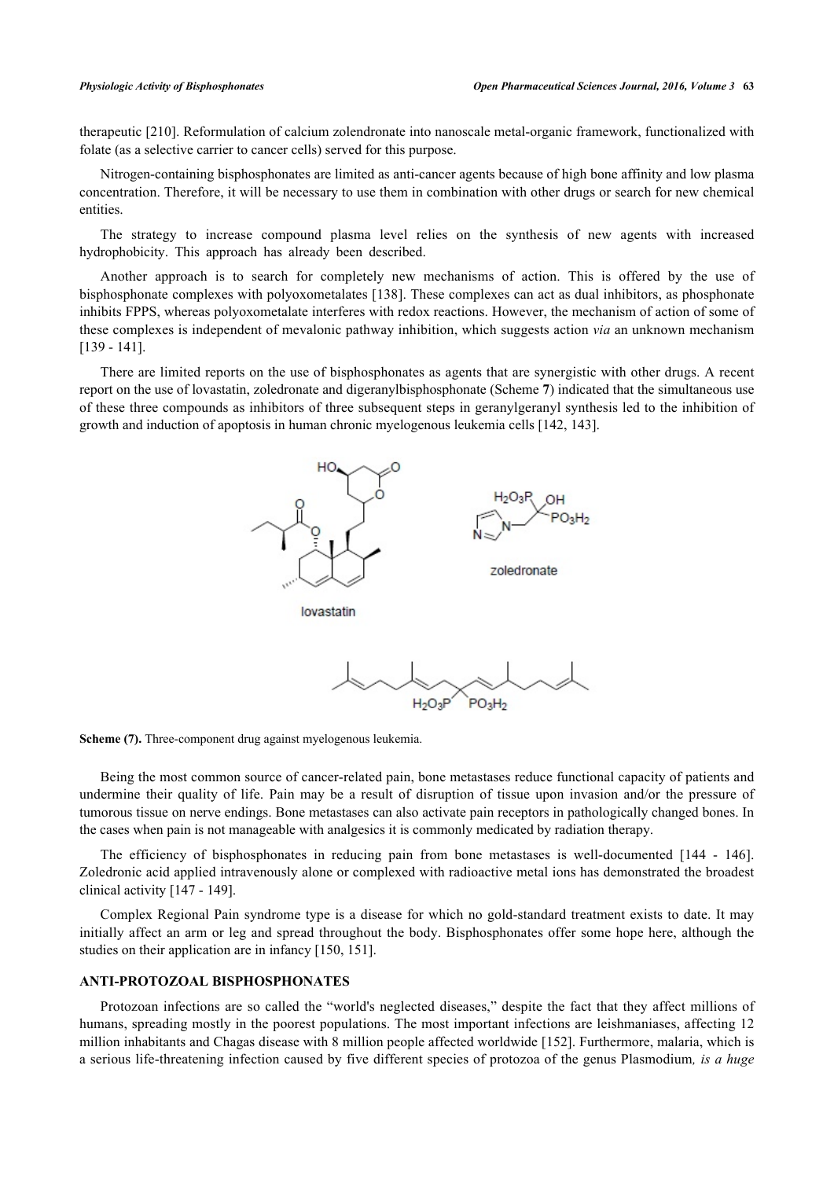therapeutic [\[210](#page-22-0)]. Reformulation of calcium zolendronate into nanoscale metal-organic framework, functionalized with folate (as a selective carrier to cancer cells) served for this purpose.

Nitrogen-containing bisphosphonates are limited as anti-cancer agents because of high bone affinity and low plasma concentration. Therefore, it will be necessary to use them in combination with other drugs or search for new chemical entities.

The strategy to increase compound plasma level relies on the synthesis of new agents with increased hydrophobicity. This approach has already been described.

Another approach is to search for completely new mechanisms of action. This is offered by the use of bisphosphonate complexes with polyoxometalates [[138](#page-19-2)]. These complexes can act as dual inhibitors, as phosphonate inhibits FPPS, whereas polyoxometalate interferes with redox reactions. However, the mechanism of action of some of these complexes is independent of mevalonic pathway inhibition, which suggests action *via* an unknown mechanism [\[139](#page-19-3) - [141](#page-19-4)].

<span id="page-7-0"></span>There are limited reports on the use of bisphosphonates as agents that are synergistic with other drugs. A recent report on the use of lovastatin, zoledronate and digeranylbisphosphonate (Scheme **[7](#page-7-0)**) indicated that the simultaneous use of these three compounds as inhibitors of three subsequent steps in geranylgeranyl synthesis led to the inhibition of growth and induction of apoptosis in human chronic myelogenous leukemia cells [\[142](#page-19-5), [143](#page-19-6)].





Being the most common source of cancer-related pain, bone metastases reduce functional capacity of patients and undermine their quality of life. Pain may be a result of disruption of tissue upon invasion and/or the pressure of tumorous tissue on nerve endings. Bone metastases can also activate pain receptors in pathologically changed bones. In the cases when pain is not manageable with analgesics it is commonly medicated by radiation therapy.

The efficiency of bisphosphonates in reducing pain from bone metastases is well-documented[[144](#page-19-7) - [146\]](#page-19-8). Zoledronic acid applied intravenously alone or complexed with radioactive metal ions has demonstrated the broadest clinical activity [\[147](#page-19-9) - [149\]](#page-19-10).

Complex Regional Pain syndrome type is a disease for which no gold-standard treatment exists to date. It may initially affect an arm or leg and spread throughout the body. Bisphosphonates offer some hope here, although the studies on their application are in infancy [\[150](#page-19-11), [151](#page-19-12)].

#### **ANTI-PROTOZOAL BISPHOSPHONATES**

Protozoan infections are so called the "world's neglected diseases," despite the fact that they affect millions of humans, spreading mostly in the poorest populations. The most important infections are leishmaniases, affecting 12 million inhabitants and Chagas disease with 8 million people affected worldwide [[152](#page-19-13)]. Furthermore, malaria, which is a serious life-threatening infection caused by five different species of protozoa of the genus Plasmodium*, is a huge*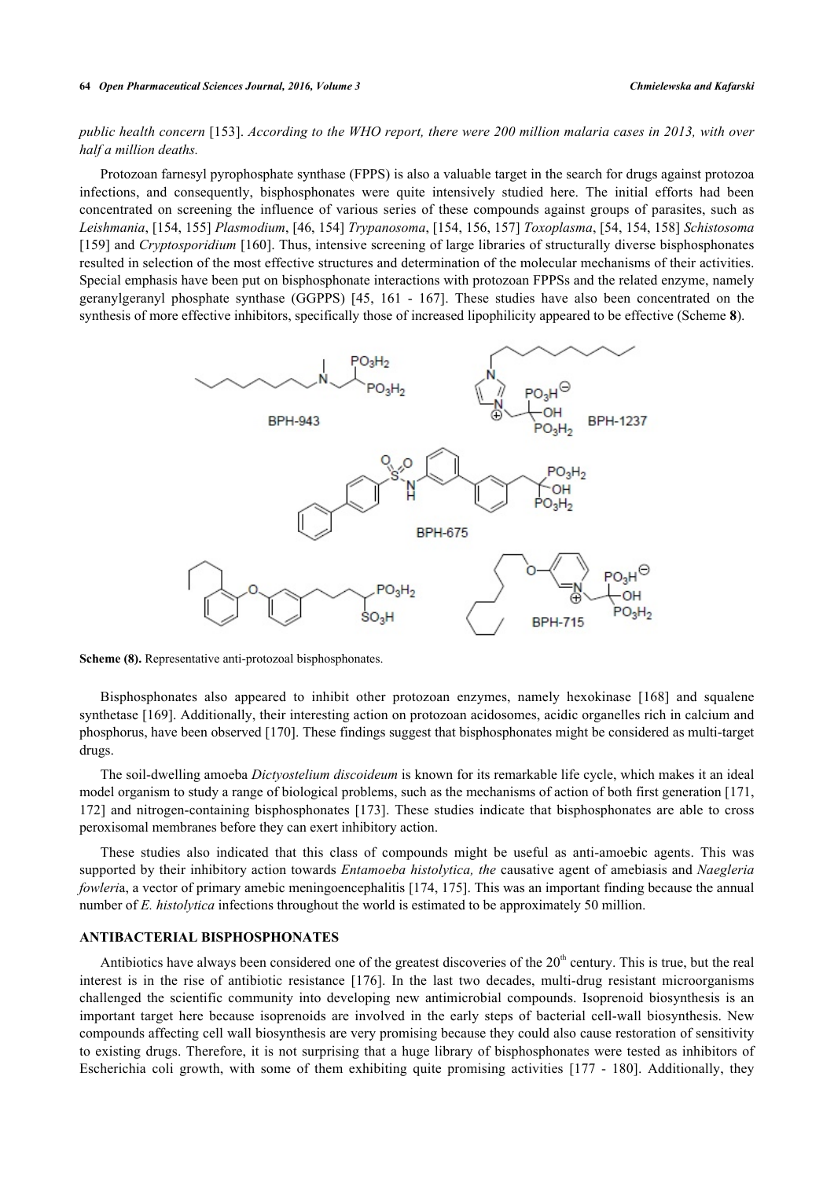# *public health concern* [[153](#page-19-14)]. *According to the WHO report, there were 200 million malaria cases in 2013, with over half a million deaths.*

Protozoan farnesyl pyrophosphate synthase (FPPS) is also a valuable target in the search for drugs against protozoa infections, and consequently, bisphosphonates were quite intensively studied here. The initial efforts had been concentrated on screening the influence of various series of these compounds against groups of parasites, such as *Leishmania*, [\[154](#page-19-15), [155\]](#page-19-16) *Plasmodium*, [\[46](#page-14-5), [154\]](#page-19-15) *Trypanosoma*, [\[154,](#page-19-15) [156,](#page-20-0) [157](#page-20-1)] *Toxoplasma*, [[54,](#page-14-11) [154](#page-19-15), [158](#page-20-2)] *Schistosoma* [\[159](#page-20-3)] and *Cryptosporidium* [\[160](#page-20-4)]. Thus, intensive screening of large libraries of structurally diverse bisphosphonates resulted in selection of the most effective structures and determination of the molecular mechanisms of their activities. Special emphasis have been put on bisphosphonate interactions with protozoan FPPSs and the related enzyme, namely geranylgeranyl phosphate synthase (GGPPS) [\[45,](#page-14-14) [161](#page-20-5) - [167](#page-20-6)]. These studies have also been concentrated on the synthesis of more effective inhibitors, specifically those of increased lipophilicity appeared to be effective (Scheme **[8](#page-8-0)**).

<span id="page-8-0"></span>

**Scheme (8).** Representative anti-protozoal bisphosphonates.

Bisphosphonates also appeared to inhibit other protozoan enzymes, namely hexokinase [\[168\]](#page-20-7) and squalene synthetase [[169](#page-20-8)]. Additionally, their interesting action on protozoan acidosomes, acidic organelles rich in calcium and phosphorus, have been observed [[170\]](#page-20-9). These findings suggest that bisphosphonates might be considered as multi-target drugs.

The soil-dwelling amoeba *Dictyostelium discoideum* is known for its remarkable life cycle, which makes it an ideal model organism to study a range of biological problems, such as the mechanisms of action of both first generation [[171](#page-20-10), [172\]](#page-20-11) and nitrogen-containing bisphosphonates [[173](#page-20-12)]. These studies indicate that bisphosphonates are able to cross peroxisomal membranes before they can exert inhibitory action.

These studies also indicated that this class of compounds might be useful as anti-amoebic agents. This was supported by their inhibitory action towards *Entamoeba histolytica, the* causative agent of amebiasis and *Naegleria fowleria*, a vector of primary amebic meningoencephalitis [\[174](#page-20-13), [175](#page-20-14)]. This was an important finding because the annual number of *E. histolytica* infections throughout the world is estimated to be approximately 50 million.

#### **ANTIBACTERIAL BISPHOSPHONATES**

Antibiotics have always been considered one of the greatest discoveries of the  $20<sup>th</sup>$  century. This is true, but the real interest is in the rise of antibiotic resistance[[176](#page-21-0)]. In the last two decades, multi-drug resistant microorganisms challenged the scientific community into developing new antimicrobial compounds. Isoprenoid biosynthesis is an important target here because isoprenoids are involved in the early steps of bacterial cell-wall biosynthesis. New compounds affecting cell wall biosynthesis are very promising because they could also cause restoration of sensitivity to existing drugs. Therefore, it is not surprising that a huge library of bisphosphonates were tested as inhibitors of Escherichia coli growth, with some of them exhibiting quite promising activities[[177](#page-21-1) - [180](#page-21-2)]. Additionally, they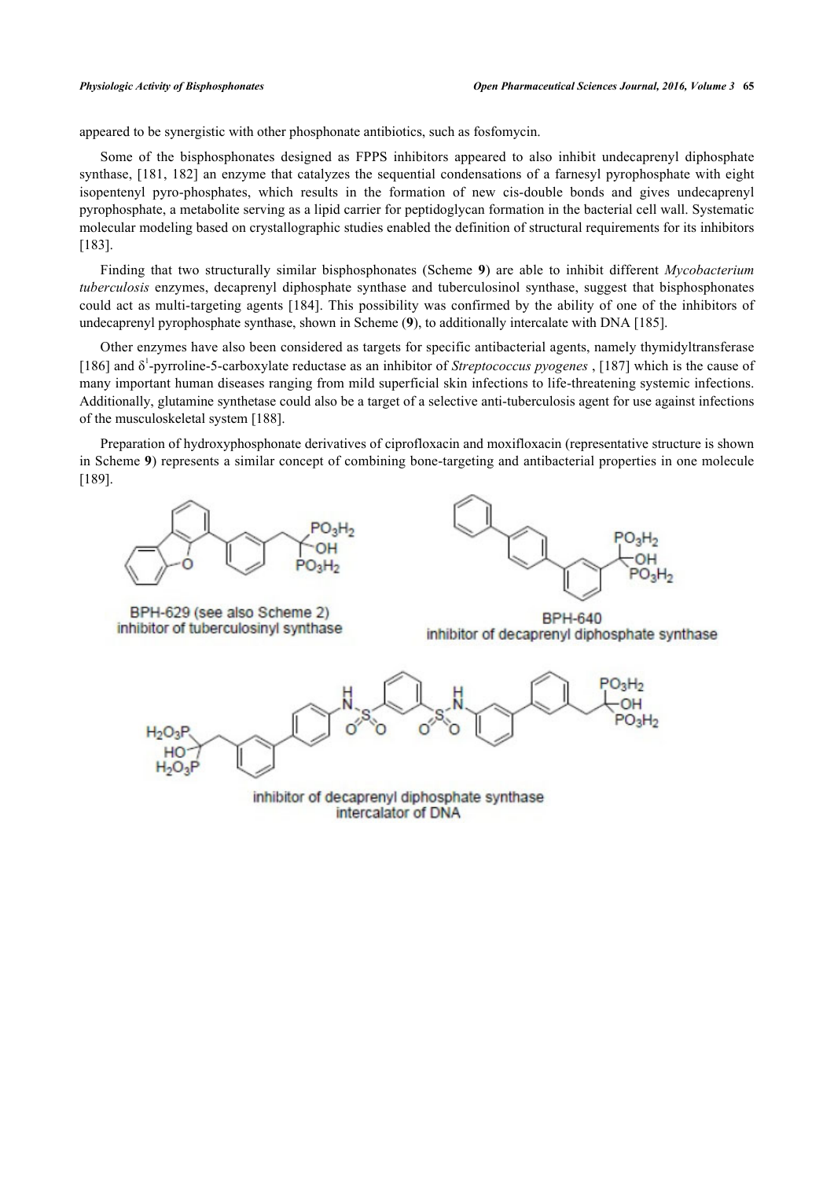appeared to be synergistic with other phosphonate antibiotics, such as fosfomycin.

Some of the bisphosphonates designed as FPPS inhibitors appeared to also inhibit undecaprenyl diphosphate synthase, [\[181,](#page-21-3) [182](#page-21-4)] an enzyme that catalyzes the sequential condensations of a farnesyl pyrophosphate with eight isopentenyl pyro-phosphates, which results in the formation of new cis-double bonds and gives undecaprenyl pyrophosphate, a metabolite serving as a lipid carrier for peptidoglycan formation in the bacterial cell wall. Systematic molecular modeling based on crystallographic studies enabled the definition of structural requirements for its inhibitors [\[183](#page-21-5)].

Finding that two structurally similar bisphosphonates (Scheme**9**) are able to inhibit different *Mycobacterium tuberculosis* enzymes, decaprenyl diphosphate synthase and tuberculosinol synthase, suggest that bisphosphonates could act as multi-targeting agents [\[184\]](#page-21-6). This possibility was confirmed by the ability of one of the inhibitors of undecaprenyl pyrophosphate synthase, shown in Scheme (**[9](#page-9-0)**), to additionally intercalate with DNA [\[185](#page-21-7)].

Other enzymes have also been considered as targets for specific antibacterial agents, namely thymidyltransferase [\[186](#page-21-8)] and δ<sup>1</sup>-pyrroline-5-carboxylate reductase as an inhibitor of *Streptococcus pyogenes*, [\[187\]](#page-21-9) which is the cause of many important human diseases ranging from mild superficial skin infections to life-threatening systemic infections. Additionally, glutamine synthetase could also be a target of a selective anti-tuberculosis agent for use against infections of the musculoskeletal system [[188\]](#page-21-10).

<span id="page-9-0"></span>Preparation of hydroxyphosphonate derivatives of ciprofloxacin and moxifloxacin (representative structure is shown in Scheme **[9](#page-9-0)**) represents a similar concept of combining bone-targeting and antibacterial properties in one molecule [\[189](#page-21-11)].





BPH-629 (see also Scheme 2) inhibitor of tuberculosinyl synthase

**BPH-640** inhibitor of decaprenyl diphosphate synthase

 $O_3H_2$ 

inhibitor of decaprenyl diphosphate synthase intercalator of DNA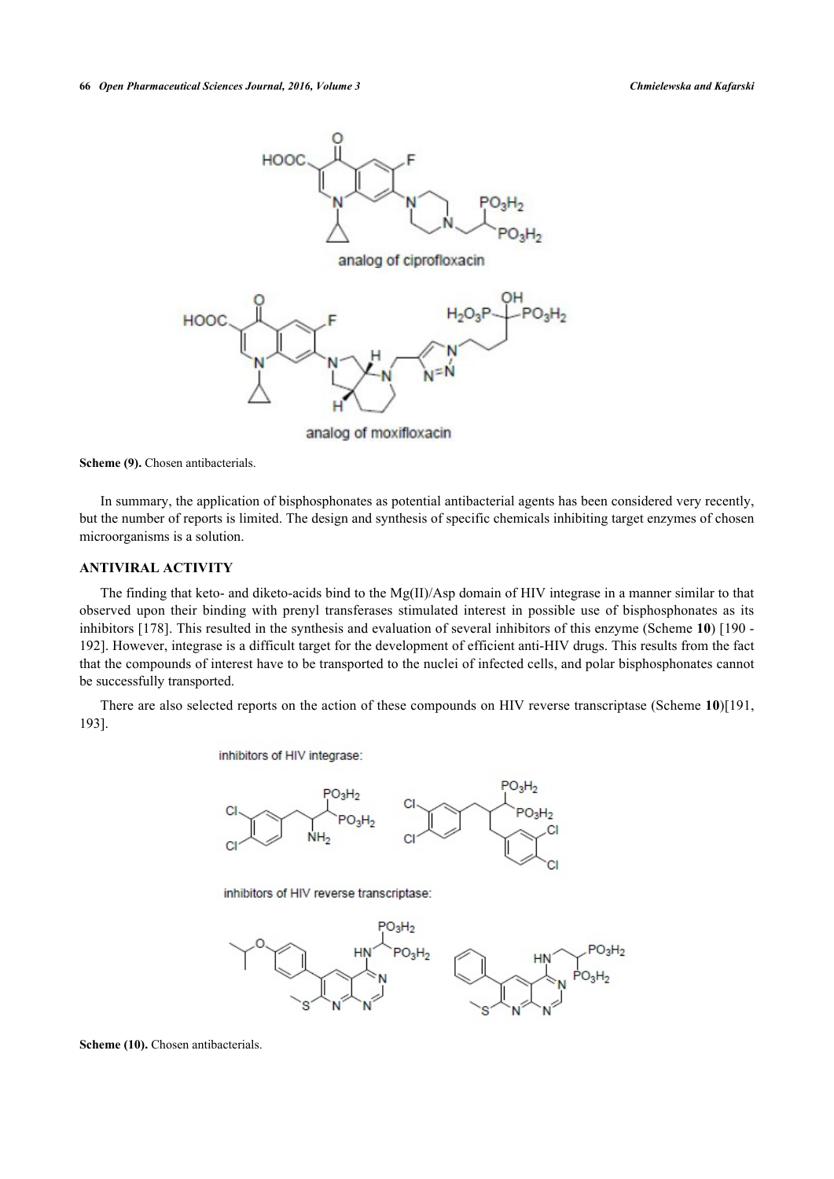

analog of moxifloxacin

**Scheme (9).** Chosen antibacterials.

In summary, the application of bisphosphonates as potential antibacterial agents has been considered very recently, but the number of reports is limited. The design and synthesis of specific chemicals inhibiting target enzymes of chosen microorganisms is a solution.

#### **ANTIVIRAL ACTIVITY**

The finding that keto- and diketo-acids bind to the Mg(II)/Asp domain of HIV integrase in a manner similar to that observed upon their binding with prenyl transferases stimulated interest in possible use of bisphosphonates as its inhibitors [[178](#page-21-12)]. This resulted in the synthesis and evaluation of several inhibitors of this enzyme (Scheme **[10](#page-10-0)**) [\[190](#page-21-13) - [192\]](#page-21-14). However, integrase is a difficult target for the development of efficient anti-HIV drugs. This results from the fact that the compounds of interest have to be transported to the nuclei of infected cells, and polar bisphosphonates cannot be successfully transported.

<span id="page-10-0"></span>There are also selected reports on the action of these compounds on HIV reverse transcriptase (Scheme **[10](#page-10-0)**)[[191](#page-21-15), [193\]](#page-21-16).

inhibitors of HIV integrase:



inhibitors of HIV reverse transcriptase:



**Scheme (10).** Chosen antibacterials.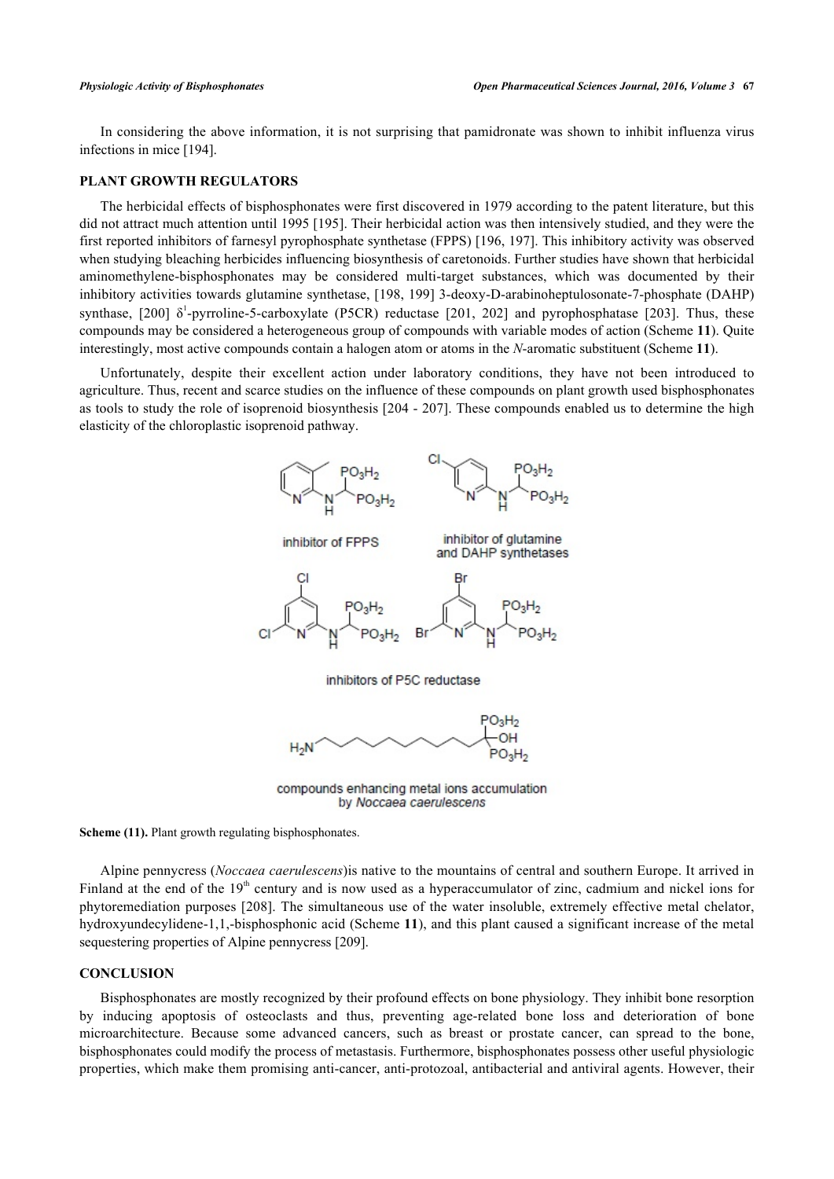In considering the above information, it is not surprising that pamidronate was shown to inhibit influenza virus infections in mice [\[194](#page-21-17)].

# **PLANT GROWTH REGULATORS**

The herbicidal effects of bisphosphonates were first discovered in 1979 according to the patent literature, but this did not attract much attention until 1995 [[195](#page-21-18)]. Their herbicidal action was then intensively studied, and they were the first reported inhibitors of farnesyl pyrophosphate synthetase (FPPS) [[196](#page-22-1), [197](#page-22-2)]. This inhibitory activity was observed when studying bleaching herbicides influencing biosynthesis of caretonoids. Further studies have shown that herbicidal aminomethylene-bisphosphonates may be considered multi-target substances, which was documented by their inhibitory activities towards glutamine synthetase, [[198](#page-22-3), [199](#page-22-4)] 3-deoxy-D-arabinoheptulosonate-7-phosphate (DAHP) synthase,[[200\]](#page-22-5)  $\delta^1$ -pyrroline-5-carboxylate (P5CR) reductase [[201](#page-22-6), [202\]](#page-22-7) and pyrophosphatase [[203](#page-22-8)]. Thus, these compounds may be considered a heterogeneous group of compounds with variable modes of action (Scheme **[11](#page-11-0)**). Quite interestingly, most active compounds contain a halogen atom or atoms in the *N*-aromatic substituent (Scheme **[11](#page-11-0)**).

<span id="page-11-0"></span>Unfortunately, despite their excellent action under laboratory conditions, they have not been introduced to agriculture. Thus, recent and scarce studies on the influence of these compounds on plant growth used bisphosphonates as tools to study the role of isoprenoid biosynthesis [[204](#page-22-9) - [207\]](#page-22-10). These compounds enabled us to determine the high elasticity of the chloroplastic isoprenoid pathway.



compounds enhancing metal ions accumulation by Noccaea caerulescens

**Scheme (11).** Plant growth regulating bisphosphonates.

Alpine pennycress (*Noccaea caerulescens*)is native to the mountains of central and southern Europe. It arrived in Finland at the end of the  $19<sup>th</sup>$  century and is now used as a hyperaccumulator of zinc, cadmium and nickel ions for phytoremediation purposes [[208](#page-22-11)]. The simultaneous use of the water insoluble, extremely effective metal chelator, hydroxyundecylidene-1,1,-bisphosphonic acid (Scheme **[11](#page-11-0)**), and this plant caused a significant increase of the metal sequestering properties of Alpine pennycress [\[209](#page-22-12)].

#### **CONCLUSION**

Bisphosphonates are mostly recognized by their profound effects on bone physiology. They inhibit bone resorption by inducing apoptosis of osteoclasts and thus, preventing age-related bone loss and deterioration of bone microarchitecture. Because some advanced cancers, such as breast or prostate cancer, can spread to the bone, bisphosphonates could modify the process of metastasis. Furthermore, bisphosphonates possess other useful physiologic properties, which make them promising anti-cancer, anti-protozoal, antibacterial and antiviral agents. However, their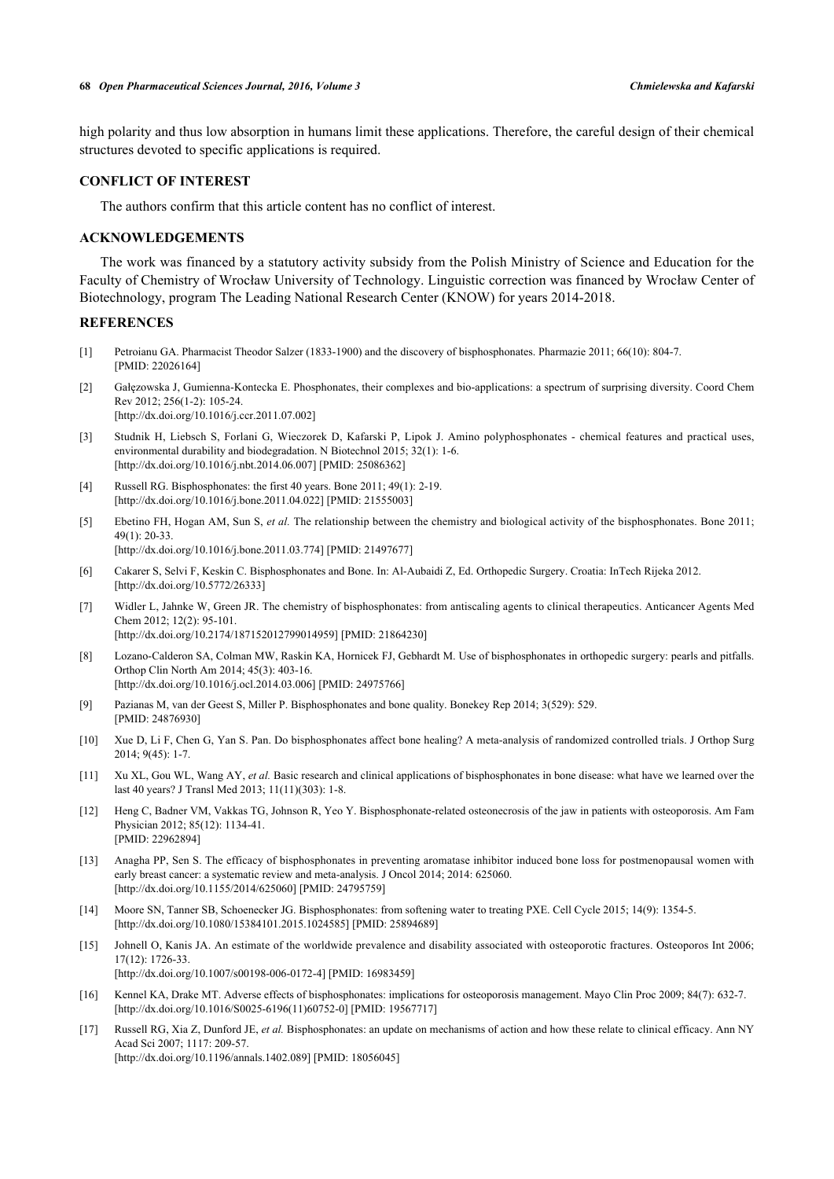#### **68** *Open Pharmaceutical Sciences Journal, 2016, Volume 3 Chmielewska and Kafarski*

high polarity and thus low absorption in humans limit these applications. Therefore, the careful design of their chemical structures devoted to specific applications is required.

# **CONFLICT OF INTEREST**

The authors confirm that this article content has no conflict of interest.

# **ACKNOWLEDGEMENTS**

The work was financed by a statutory activity subsidy from the Polish Ministry of Science and Education for the Faculty of Chemistry of Wrocław University of Technology. Linguistic correction was financed by Wrocław Center of Biotechnology, program The Leading National Research Center (KNOW) for years 2014-2018.

# **REFERENCES**

- <span id="page-12-0"></span>[1] Petroianu GA. Pharmacist Theodor Salzer (1833-1900) and the discovery of bisphosphonates. Pharmazie 2011; 66(10): 804-7. [PMID: [22026164\]](http://www.ncbi.nlm.nih.gov/pubmed/22026164)
- <span id="page-12-1"></span>[2] Gałęzowska J, Gumienna-Kontecka E. Phosphonates, their complexes and bio-applications: a spectrum of surprising diversity. Coord Chem Rev 2012; 256(1-2): 105-24. [\[http://dx.doi.org/10.1016/j.ccr.2011.07.002\]](http://dx.doi.org/10.1016/j.ccr.2011.07.002)
- <span id="page-12-2"></span>[3] Studnik H, Liebsch S, Forlani G, Wieczorek D, Kafarski P, Lipok J. Amino polyphosphonates - chemical features and practical uses, environmental durability and biodegradation. N Biotechnol 2015; 32(1): 1-6. [\[http://dx.doi.org/10.1016/j.nbt.2014.06.007](http://dx.doi.org/10.1016/j.nbt.2014.06.007)] [PMID: [25086362\]](http://www.ncbi.nlm.nih.gov/pubmed/25086362)
- <span id="page-12-3"></span>[4] Russell RG. Bisphosphonates: the first 40 years. Bone 2011; 49(1): 2-19. [\[http://dx.doi.org/10.1016/j.bone.2011.04.022\]](http://dx.doi.org/10.1016/j.bone.2011.04.022) [PMID: [21555003](http://www.ncbi.nlm.nih.gov/pubmed/21555003)]
- <span id="page-12-8"></span>[5] Ebetino FH, Hogan AM, Sun S, *et al.* The relationship between the chemistry and biological activity of the bisphosphonates. Bone 2011;  $49(1) \cdot 20 - 33$ [\[http://dx.doi.org/10.1016/j.bone.2011.03.774\]](http://dx.doi.org/10.1016/j.bone.2011.03.774) [PMID: [21497677](http://www.ncbi.nlm.nih.gov/pubmed/21497677)]
- [6] Cakarer S, Selvi F, Keskin C. Bisphosphonates and Bone. In: Al-Aubaidi Z, Ed. Orthopedic Surgery. Croatia: InTech Rijeka 2012. [\[http://dx.doi.org/10.5772/26333\]](http://dx.doi.org/10.5772/26333)
- [7] Widler L, Jahnke W, Green JR. The chemistry of bisphosphonates: from antiscaling agents to clinical therapeutics. Anticancer Agents Med Chem 2012; 12(2): 95-101. [\[http://dx.doi.org/10.2174/187152012799014959\]](http://dx.doi.org/10.2174/187152012799014959) [PMID: [21864230](http://www.ncbi.nlm.nih.gov/pubmed/21864230)]
- [8] Lozano-Calderon SA, Colman MW, Raskin KA, Hornicek FJ, Gebhardt M. Use of bisphosphonates in orthopedic surgery: pearls and pitfalls. Orthop Clin North Am 2014; 45(3): 403-16. [\[http://dx.doi.org/10.1016/j.ocl.2014.03.006\]](http://dx.doi.org/10.1016/j.ocl.2014.03.006) [PMID: [24975766](http://www.ncbi.nlm.nih.gov/pubmed/24975766)]
- [9] Pazianas M, van der Geest S, Miller P. Bisphosphonates and bone quality. Bonekey Rep 2014; 3(529): 529. [PMID: [24876930\]](http://www.ncbi.nlm.nih.gov/pubmed/24876930)
- [10] Xue D, Li F, Chen G, Yan S. Pan. Do bisphosphonates affect bone healing? A meta-analysis of randomized controlled trials. J Orthop Surg 2014; 9(45): 1-7.
- [11] Xu XL, Gou WL, Wang AY, *et al.* Basic research and clinical applications of bisphosphonates in bone disease: what have we learned over the last 40 years? J Transl Med 2013; 11(11)(303): 1-8.
- [12] Heng C, Badner VM, Vakkas TG, Johnson R, Yeo Y. Bisphosphonate-related osteonecrosis of the jaw in patients with osteoporosis. Am Fam Physician 2012; 85(12): 1134-41. [PMID: [22962894\]](http://www.ncbi.nlm.nih.gov/pubmed/22962894)
- [13] Anagha PP, Sen S. The efficacy of bisphosphonates in preventing aromatase inhibitor induced bone loss for postmenopausal women with early breast cancer: a systematic review and meta-analysis. J Oncol 2014; 2014: 625060. [\[http://dx.doi.org/10.1155/2014/625060](http://dx.doi.org/10.1155/2014/625060)] [PMID: [24795759\]](http://www.ncbi.nlm.nih.gov/pubmed/24795759)
- <span id="page-12-4"></span>[14] Moore SN, Tanner SB, Schoenecker JG. Bisphosphonates: from softening water to treating PXE. Cell Cycle 2015; 14(9): 1354-5. [\[http://dx.doi.org/10.1080/15384101.2015.1024585\]](http://dx.doi.org/10.1080/15384101.2015.1024585) [PMID: [25894689](http://www.ncbi.nlm.nih.gov/pubmed/25894689)]
- <span id="page-12-5"></span>[15] Johnell O, Kanis JA. An estimate of the worldwide prevalence and disability associated with osteoporotic fractures. Osteoporos Int 2006; 17(12): 1726-33. [\[http://dx.doi.org/10.1007/s00198-006-0172-4\]](http://dx.doi.org/10.1007/s00198-006-0172-4) [PMID: [16983459](http://www.ncbi.nlm.nih.gov/pubmed/16983459)]
- <span id="page-12-6"></span>[16] Kennel KA, Drake MT. Adverse effects of bisphosphonates: implications for osteoporosis management. Mayo Clin Proc 2009; 84(7): 632-7. [\[http://dx.doi.org/10.1016/S0025-6196\(11\)60752-0\]](http://dx.doi.org/10.1016/S0025-6196(11)60752-0) [PMID: [19567717](http://www.ncbi.nlm.nih.gov/pubmed/19567717)]
- <span id="page-12-7"></span>[17] Russell RG, Xia Z, Dunford JE, *et al.* Bisphosphonates: an update on mechanisms of action and how these relate to clinical efficacy. Ann NY Acad Sci 2007; 1117: 209-57. [\[http://dx.doi.org/10.1196/annals.1402.089](http://dx.doi.org/10.1196/annals.1402.089)] [PMID: [18056045\]](http://www.ncbi.nlm.nih.gov/pubmed/18056045)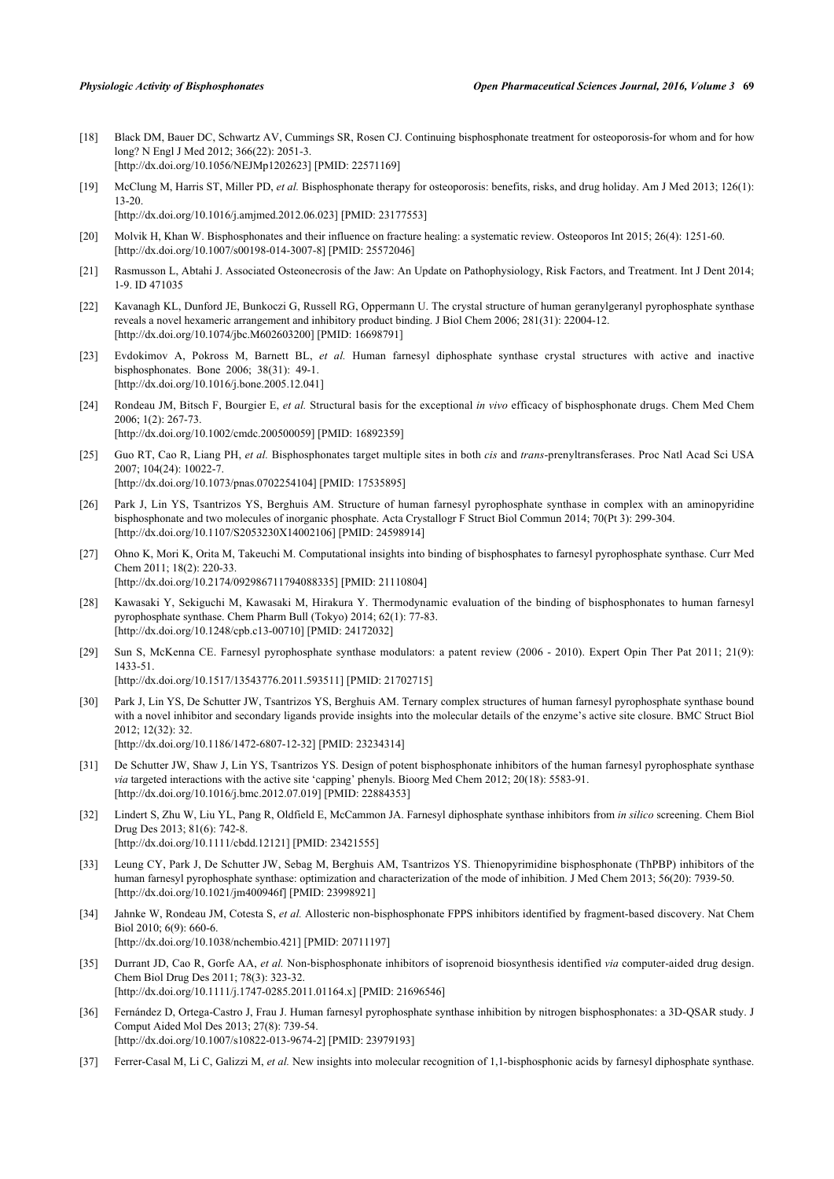- <span id="page-13-0"></span>[18] Black DM, Bauer DC, Schwartz AV, Cummings SR, Rosen CJ. Continuing bisphosphonate treatment for osteoporosis-for whom and for how long? N Engl J Med 2012; 366(22): 2051-3. [\[http://dx.doi.org/10.1056/NEJMp1202623\]](http://dx.doi.org/10.1056/NEJMp1202623) [PMID: [22571169](http://www.ncbi.nlm.nih.gov/pubmed/22571169)]
- [19] McClung M, Harris ST, Miller PD, *et al.* Bisphosphonate therapy for osteoporosis: benefits, risks, and drug holiday. Am J Med 2013; 126(1): 13-20. [\[http://dx.doi.org/10.1016/j.amjmed.2012.06.023\]](http://dx.doi.org/10.1016/j.amjmed.2012.06.023) [PMID: [23177553](http://www.ncbi.nlm.nih.gov/pubmed/23177553)]
- <span id="page-13-1"></span>[20] Molvik H, Khan W. Bisphosphonates and their influence on fracture healing: a systematic review. Osteoporos Int 2015; 26(4): 1251-60. [\[http://dx.doi.org/10.1007/s00198-014-3007-8\]](http://dx.doi.org/10.1007/s00198-014-3007-8) [PMID: [25572046](http://www.ncbi.nlm.nih.gov/pubmed/25572046)]
- <span id="page-13-2"></span>[21] Rasmusson L, Abtahi J. Associated Osteonecrosis of the Jaw: An Update on Pathophysiology, Risk Factors, and Treatment. Int J Dent 2014; 1-9. ID 471035
- <span id="page-13-3"></span>[22] Kavanagh KL, Dunford JE, Bunkoczi G, Russell RG, Oppermann U. The crystal structure of human geranylgeranyl pyrophosphate synthase reveals a novel hexameric arrangement and inhibitory product binding. J Biol Chem 2006; 281(31): 22004-12. [\[http://dx.doi.org/10.1074/jbc.M602603200\]](http://dx.doi.org/10.1074/jbc.M602603200) [PMID: [16698791](http://www.ncbi.nlm.nih.gov/pubmed/16698791)]
- [23] Evdokimov A, Pokross M, Barnett BL, *et al.* Human farnesyl diphosphate synthase crystal structures with active and inactive bisphosphonates. Bone 2006; 38(31): 49-1. [\[http://dx.doi.org/10.1016/j.bone.2005.12.041\]](http://dx.doi.org/10.1016/j.bone.2005.12.041)
- <span id="page-13-4"></span>[24] Rondeau JM, Bitsch F, Bourgier E, *et al.* Structural basis for the exceptional *in vivo* efficacy of bisphosphonate drugs. Chem Med Chem 2006; 1(2): 267-73. [\[http://dx.doi.org/10.1002/cmdc.200500059](http://dx.doi.org/10.1002/cmdc.200500059)] [PMID: [16892359\]](http://www.ncbi.nlm.nih.gov/pubmed/16892359)
- <span id="page-13-5"></span>[25] Guo RT, Cao R, Liang PH, *et al.* Bisphosphonates target multiple sites in both *cis* and *trans*-prenyltransferases. Proc Natl Acad Sci USA 2007; 104(24): 10022-7. [\[http://dx.doi.org/10.1073/pnas.0702254104](http://dx.doi.org/10.1073/pnas.0702254104)] [PMID: [17535895](http://www.ncbi.nlm.nih.gov/pubmed/17535895)]
- [26] Park J, Lin YS, Tsantrizos YS, Berghuis AM. Structure of human farnesyl pyrophosphate synthase in complex with an aminopyridine bisphosphonate and two molecules of inorganic phosphate. Acta Crystallogr F Struct Biol Commun 2014; 70(Pt 3): 299-304. [\[http://dx.doi.org/10.1107/S2053230X14002106](http://dx.doi.org/10.1107/S2053230X14002106)] [PMID: [24598914\]](http://www.ncbi.nlm.nih.gov/pubmed/24598914)
- <span id="page-13-6"></span>[27] Ohno K, Mori K, Orita M, Takeuchi M. Computational insights into binding of bisphosphates to farnesyl pyrophosphate synthase. Curr Med Chem 2011; 18(2): 220-33. [\[http://dx.doi.org/10.2174/092986711794088335\]](http://dx.doi.org/10.2174/092986711794088335) [PMID: [21110804](http://www.ncbi.nlm.nih.gov/pubmed/21110804)]
- [28] Kawasaki Y, Sekiguchi M, Kawasaki M, Hirakura Y. Thermodynamic evaluation of the binding of bisphosphonates to human farnesyl pyrophosphate synthase. Chem Pharm Bull (Tokyo) 2014; 62(1): 77-83. [\[http://dx.doi.org/10.1248/cpb.c13-00710\]](http://dx.doi.org/10.1248/cpb.c13-00710) [PMID: [24172032](http://www.ncbi.nlm.nih.gov/pubmed/24172032)]
- [29] Sun S, McKenna CE. Farnesyl pyrophosphate synthase modulators: a patent review (2006 2010). Expert Opin Ther Pat 2011; 21(9): 1433-51. [\[http://dx.doi.org/10.1517/13543776.2011.593511\]](http://dx.doi.org/10.1517/13543776.2011.593511) [PMID: [21702715](http://www.ncbi.nlm.nih.gov/pubmed/21702715)]
- <span id="page-13-11"></span>[30] Park J, Lin YS, De Schutter JW, Tsantrizos YS, Berghuis AM. Ternary complex structures of human farnesyl pyrophosphate synthase bound with a novel inhibitor and secondary ligands provide insights into the molecular details of the enzyme's active site closure. BMC Struct Biol 2012; 12(32): 32. [\[http://dx.doi.org/10.1186/1472-6807-12-32\]](http://dx.doi.org/10.1186/1472-6807-12-32) [PMID: [23234314](http://www.ncbi.nlm.nih.gov/pubmed/23234314)]
- <span id="page-13-12"></span>[31] De Schutter JW, Shaw J, Lin YS, Tsantrizos YS. Design of potent bisphosphonate inhibitors of the human farnesyl pyrophosphate synthase *via* targeted interactions with the active site 'capping' phenyls. Bioorg Med Chem 2012; 20(18): 5583-91. [\[http://dx.doi.org/10.1016/j.bmc.2012.07.019\]](http://dx.doi.org/10.1016/j.bmc.2012.07.019) [PMID: [22884353](http://www.ncbi.nlm.nih.gov/pubmed/22884353)]
- <span id="page-13-10"></span>[32] Lindert S, Zhu W, Liu YL, Pang R, Oldfield E, McCammon JA. Farnesyl diphosphate synthase inhibitors from *in silico* screening. Chem Biol Drug Des 2013; 81(6): 742-8. [\[http://dx.doi.org/10.1111/cbdd.12121](http://dx.doi.org/10.1111/cbdd.12121)] [PMID: [23421555\]](http://www.ncbi.nlm.nih.gov/pubmed/23421555)
- [33] Leung CY, Park J, De Schutter JW, Sebag M, Berghuis AM, Tsantrizos YS. Thienopyrimidine bisphosphonate (ThPBP) inhibitors of the human farnesyl pyrophosphate synthase: optimization and characterization of the mode of inhibition. J Med Chem 2013; 56(20): 7939-50. [\[http://dx.doi.org/10.1021/jm400946f\]](http://dx.doi.org/10.1021/jm400946f) [PMID: [23998921](http://www.ncbi.nlm.nih.gov/pubmed/23998921)]
- [34] Jahnke W, Rondeau JM, Cotesta S, *et al.* Allosteric non-bisphosphonate FPPS inhibitors identified by fragment-based discovery. Nat Chem Biol 2010; 6(9): 660-6. [\[http://dx.doi.org/10.1038/nchembio.421](http://dx.doi.org/10.1038/nchembio.421)] [PMID: [20711197\]](http://www.ncbi.nlm.nih.gov/pubmed/20711197)
- <span id="page-13-7"></span>[35] Durrant JD, Cao R, Gorfe AA, *et al.* Non-bisphosphonate inhibitors of isoprenoid biosynthesis identified *via* computer-aided drug design. Chem Biol Drug Des 2011; 78(3): 323-32. [\[http://dx.doi.org/10.1111/j.1747-0285.2011.01164.x\]](http://dx.doi.org/10.1111/j.1747-0285.2011.01164.x) [PMID: [21696546](http://www.ncbi.nlm.nih.gov/pubmed/21696546)]
- <span id="page-13-8"></span>[36] Fernández D, Ortega-Castro J, Frau J. Human farnesyl pyrophosphate synthase inhibition by nitrogen bisphosphonates: a 3D-QSAR study. J Comput Aided Mol Des 2013; 27(8): 739-54. [\[http://dx.doi.org/10.1007/s10822-013-9674-2\]](http://dx.doi.org/10.1007/s10822-013-9674-2) [PMID: [23979193](http://www.ncbi.nlm.nih.gov/pubmed/23979193)]
- <span id="page-13-9"></span>[37] Ferrer-Casal M, Li C, Galizzi M, *et al.* New insights into molecular recognition of 1,1-bisphosphonic acids by farnesyl diphosphate synthase.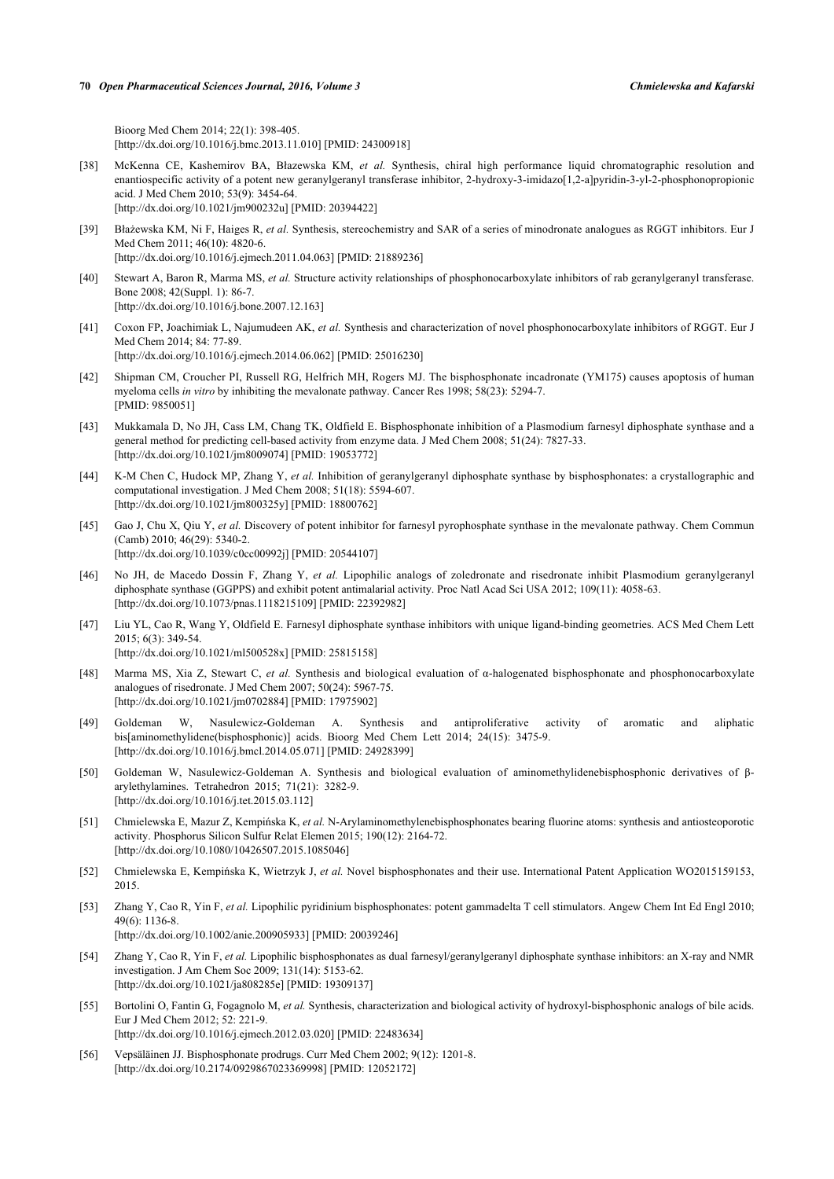Bioorg Med Chem 2014; 22(1): 398-405. [\[http://dx.doi.org/10.1016/j.bmc.2013.11.010\]](http://dx.doi.org/10.1016/j.bmc.2013.11.010) [PMID: [24300918](http://www.ncbi.nlm.nih.gov/pubmed/24300918)]

- <span id="page-14-0"></span>[38] McKenna CE, Kashemirov BA, Błazewska KM, *et al.* Synthesis, chiral high performance liquid chromatographic resolution and enantiospecific activity of a potent new geranylgeranyl transferase inhibitor, 2-hydroxy-3-imidazo[1,2-a]pyridin-3-yl-2-phosphonopropionic acid. J Med Chem 2010; 53(9): 3454-64. [\[http://dx.doi.org/10.1021/jm900232u](http://dx.doi.org/10.1021/jm900232u)] [PMID: [20394422\]](http://www.ncbi.nlm.nih.gov/pubmed/20394422)
- [39] Błażewska KM, Ni F, Haiges R, *et al.* Synthesis, stereochemistry and SAR of a series of minodronate analogues as RGGT inhibitors. Eur J Med Chem 2011; 46(10): 4820-6. [\[http://dx.doi.org/10.1016/j.ejmech.2011.04.063](http://dx.doi.org/10.1016/j.ejmech.2011.04.063)] [PMID: [21889236\]](http://www.ncbi.nlm.nih.gov/pubmed/21889236)
- <span id="page-14-1"></span>[40] Stewart A, Baron R, Marma MS, *et al.* Structure activity relationships of phosphonocarboxylate inhibitors of rab geranylgeranyl transferase. Bone 2008; 42(Suppl. 1): 86-7. [\[http://dx.doi.org/10.1016/j.bone.2007.12.163\]](http://dx.doi.org/10.1016/j.bone.2007.12.163)
- <span id="page-14-2"></span>[41] Coxon FP, Joachimiak L, Najumudeen AK, *et al.* Synthesis and characterization of novel phosphonocarboxylate inhibitors of RGGT. Eur J Med Chem 2014; 84: 77-89. [\[http://dx.doi.org/10.1016/j.ejmech.2014.06.062](http://dx.doi.org/10.1016/j.ejmech.2014.06.062)] [PMID: [25016230\]](http://www.ncbi.nlm.nih.gov/pubmed/25016230)
- <span id="page-14-3"></span>[42] Shipman CM, Croucher PI, Russell RG, Helfrich MH, Rogers MJ. The bisphosphonate incadronate (YM175) causes apoptosis of human myeloma cells *in vitro* by inhibiting the mevalonate pathway. Cancer Res 1998; 58(23): 5294-7. [PMID: [9850051\]](http://www.ncbi.nlm.nih.gov/pubmed/9850051)
- <span id="page-14-4"></span>[43] Mukkamala D, No JH, Cass LM, Chang TK, Oldfield E. Bisphosphonate inhibition of a Plasmodium farnesyl diphosphate synthase and a general method for predicting cell-based activity from enzyme data. J Med Chem 2008; 51(24): 7827-33. [\[http://dx.doi.org/10.1021/jm8009074](http://dx.doi.org/10.1021/jm8009074)] [PMID: [19053772\]](http://www.ncbi.nlm.nih.gov/pubmed/19053772)
- [44] K-M Chen C, Hudock MP, Zhang Y, *et al.* Inhibition of geranylgeranyl diphosphate synthase by bisphosphonates: a crystallographic and computational investigation. J Med Chem 2008; 51(18): 5594-607. [\[http://dx.doi.org/10.1021/jm800325y](http://dx.doi.org/10.1021/jm800325y)] [PMID: [18800762\]](http://www.ncbi.nlm.nih.gov/pubmed/18800762)
- <span id="page-14-14"></span>[45] Gao J, Chu X, Qiu Y, *et al.* Discovery of potent inhibitor for farnesyl pyrophosphate synthase in the mevalonate pathway. Chem Commun (Camb) 2010; 46(29): 5340-2. [\[http://dx.doi.org/10.1039/c0cc00992j\]](http://dx.doi.org/10.1039/c0cc00992j) [PMID: [20544107](http://www.ncbi.nlm.nih.gov/pubmed/20544107)]
- <span id="page-14-5"></span>[46] No JH, de Macedo Dossin F, Zhang Y, *et al.* Lipophilic analogs of zoledronate and risedronate inhibit Plasmodium geranylgeranyl diphosphate synthase (GGPPS) and exhibit potent antimalarial activity. Proc Natl Acad Sci USA 2012; 109(11): 4058-63. [\[http://dx.doi.org/10.1073/pnas.1118215109](http://dx.doi.org/10.1073/pnas.1118215109)] [PMID: [22392982](http://www.ncbi.nlm.nih.gov/pubmed/22392982)]
- <span id="page-14-6"></span>[47] Liu YL, Cao R, Wang Y, Oldfield E. Farnesyl diphosphate synthase inhibitors with unique ligand-binding geometries. ACS Med Chem Lett 2015; 6(3): 349-54. [\[http://dx.doi.org/10.1021/ml500528x](http://dx.doi.org/10.1021/ml500528x)] [PMID: [25815158\]](http://www.ncbi.nlm.nih.gov/pubmed/25815158)
- <span id="page-14-7"></span>[48] Marma MS, Xia Z, Stewart C, *et al.* Synthesis and biological evaluation of α-halogenated bisphosphonate and phosphonocarboxylate analogues of risedronate. J Med Chem 2007; 50(24): 5967-75. [\[http://dx.doi.org/10.1021/jm0702884](http://dx.doi.org/10.1021/jm0702884)] [PMID: [17975902\]](http://www.ncbi.nlm.nih.gov/pubmed/17975902)
- <span id="page-14-8"></span>[49] Goldeman W, Nasulewicz-Goldeman A. Synthesis and antiproliferative activity of aromatic and aliphatic bis[aminomethylidene(bisphosphonic)] acids. Bioorg Med Chem Lett 2014; 24(15): 3475-9. [\[http://dx.doi.org/10.1016/j.bmcl.2014.05.071](http://dx.doi.org/10.1016/j.bmcl.2014.05.071)] [PMID: [24928399\]](http://www.ncbi.nlm.nih.gov/pubmed/24928399)
- [50] Goldeman W, Nasulewicz-Goldeman A. Synthesis and biological evaluation of aminomethylidenebisphosphonic derivatives of βarylethylamines. Tetrahedron 2015; 71(21): 3282-9. [\[http://dx.doi.org/10.1016/j.tet.2015.03.112](http://dx.doi.org/10.1016/j.tet.2015.03.112)]
- [51] Chmielewska E, Mazur Z, Kempińska K, *et al.* N-Arylaminomethylenebisphosphonates bearing fluorine atoms: synthesis and antiosteoporotic activity. Phosphorus Silicon Sulfur Relat Elemen 2015; 190(12): 2164-72. [\[http://dx.doi.org/10.1080/10426507.2015.1085046\]](http://dx.doi.org/10.1080/10426507.2015.1085046)
- <span id="page-14-9"></span>[52] Chmielewska E, Kempińska K, Wietrzyk J, *et al.* Novel bisphosphonates and their use. International Patent Application WO2015159153, 2015.
- <span id="page-14-10"></span>[53] Zhang Y, Cao R, Yin F, *et al.* Lipophilic pyridinium bisphosphonates: potent gammadelta T cell stimulators. Angew Chem Int Ed Engl 2010; 49(6): 1136-8.
	- [\[http://dx.doi.org/10.1002/anie.200905933](http://dx.doi.org/10.1002/anie.200905933)] [PMID: [20039246\]](http://www.ncbi.nlm.nih.gov/pubmed/20039246)
- <span id="page-14-11"></span>[54] Zhang Y, Cao R, Yin F, *et al.* Lipophilic bisphosphonates as dual farnesyl/geranylgeranyl diphosphate synthase inhibitors: an X-ray and NMR investigation. J Am Chem Soc 2009; 131(14): 5153-62. [\[http://dx.doi.org/10.1021/ja808285e](http://dx.doi.org/10.1021/ja808285e)] [PMID: [19309137\]](http://www.ncbi.nlm.nih.gov/pubmed/19309137)
- <span id="page-14-12"></span>[55] Bortolini O, Fantin G, Fogagnolo M, *et al.* Synthesis, characterization and biological activity of hydroxyl-bisphosphonic analogs of bile acids. Eur J Med Chem 2012; 52: 221-9. [\[http://dx.doi.org/10.1016/j.ejmech.2012.03.020](http://dx.doi.org/10.1016/j.ejmech.2012.03.020)] [PMID: [22483634\]](http://www.ncbi.nlm.nih.gov/pubmed/22483634)
- <span id="page-14-13"></span>[56] Vepsäläinen JJ. Bisphosphonate prodrugs. Curr Med Chem 2002; 9(12): 1201-8. [\[http://dx.doi.org/10.2174/0929867023369998\]](http://dx.doi.org/10.2174/0929867023369998) [PMID: [12052172](http://www.ncbi.nlm.nih.gov/pubmed/12052172)]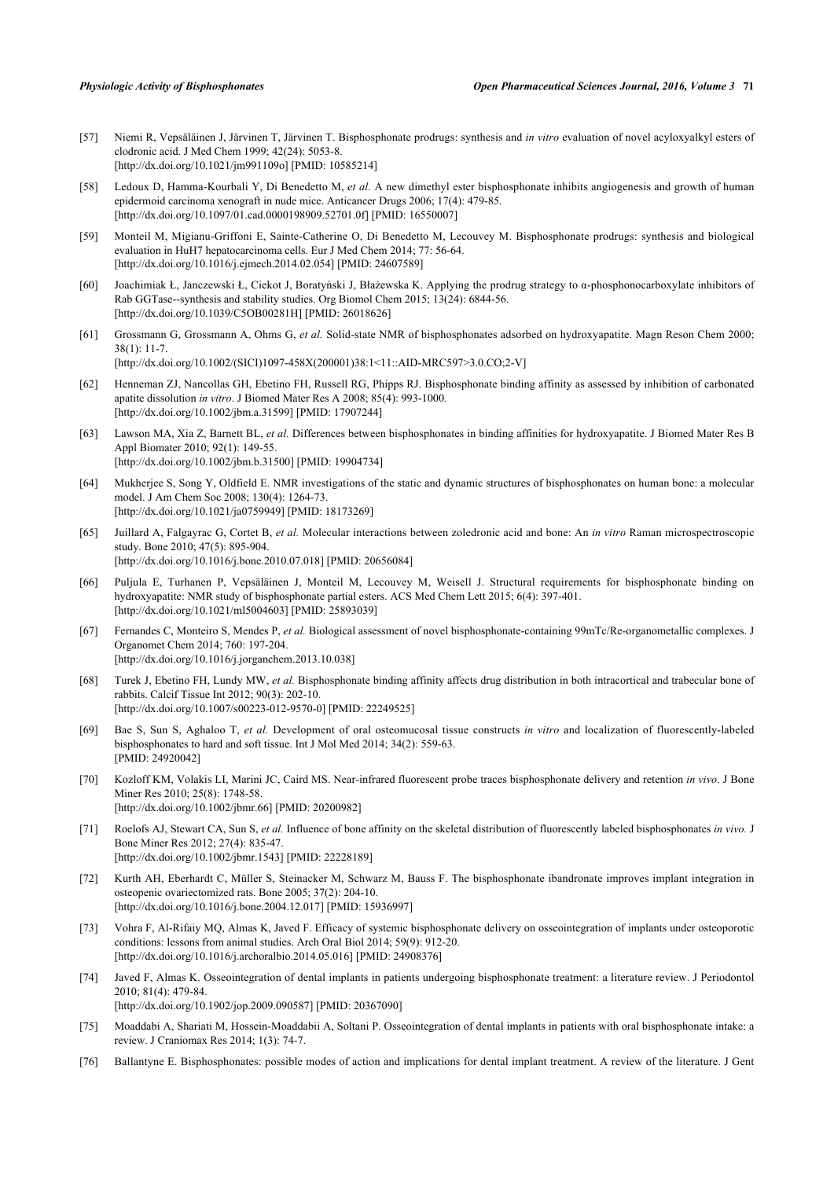- [57] Niemi R, Vepsäläinen J, Järvinen T, Järvinen T. Bisphosphonate prodrugs: synthesis and *in vitro* evaluation of novel acyloxyalkyl esters of clodronic acid. J Med Chem 1999; 42(24): 5053-8. [\[http://dx.doi.org/10.1021/jm991109o](http://dx.doi.org/10.1021/jm991109o)] [PMID: [10585214\]](http://www.ncbi.nlm.nih.gov/pubmed/10585214)
- [58] Ledoux D, Hamma-Kourbali Y, Di Benedetto M, *et al.* A new dimethyl ester bisphosphonate inhibits angiogenesis and growth of human epidermoid carcinoma xenograft in nude mice. Anticancer Drugs 2006; 17(4): 479-85. [\[http://dx.doi.org/10.1097/01.cad.0000198909.52701.0f\]](http://dx.doi.org/10.1097/01.cad.0000198909.52701.0f) [PMID: [16550007](http://www.ncbi.nlm.nih.gov/pubmed/16550007)]
- [59] Monteil M, Migianu-Griffoni E, Sainte-Catherine O, Di Benedetto M, Lecouvey M. Bisphosphonate prodrugs: synthesis and biological evaluation in HuH7 hepatocarcinoma cells. Eur J Med Chem 2014; 77: 56-64. [\[http://dx.doi.org/10.1016/j.ejmech.2014.02.054](http://dx.doi.org/10.1016/j.ejmech.2014.02.054)] [PMID: [24607589\]](http://www.ncbi.nlm.nih.gov/pubmed/24607589)
- <span id="page-15-0"></span>[60] Joachimiak Ł, Janczewski Ł, Ciekot J, Boratyński J, Błażewska K. Applying the prodrug strategy to α-phosphonocarboxylate inhibitors of Rab GGTase--synthesis and stability studies. Org Biomol Chem 2015; 13(24): 6844-56. [\[http://dx.doi.org/10.1039/C5OB00281H](http://dx.doi.org/10.1039/C5OB00281H)] [PMID: [26018626\]](http://www.ncbi.nlm.nih.gov/pubmed/26018626)
- <span id="page-15-1"></span>[61] Grossmann G, Grossmann A, Ohms G, *et al.* Solid-state NMR of bisphosphonates adsorbed on hydroxyapatite. Magn Reson Chem 2000; 38(1): 11-7. [\[http://dx.doi.org/10.1002/\(SICI\)1097-458X\(200001\)38:1<11::AID-MRC597>3.0.CO;2-V](http://dx.doi.org/10.1002/(SICI)1097-458X(200001)38:1<11::AID-MRC597>3.0.CO;2-V)]
- [62] Henneman ZJ, Nancollas GH, Ebetino FH, Russell RG, Phipps RJ. Bisphosphonate binding affinity as assessed by inhibition of carbonated apatite dissolution *in vitro*. J Biomed Mater Res A 2008; 85(4): 993-1000. [\[http://dx.doi.org/10.1002/jbm.a.31599\]](http://dx.doi.org/10.1002/jbm.a.31599) [PMID: [17907244](http://www.ncbi.nlm.nih.gov/pubmed/17907244)]
- [63] Lawson MA, Xia Z, Barnett BL, *et al.* Differences between bisphosphonates in binding affinities for hydroxyapatite. J Biomed Mater Res B Appl Biomater 2010; 92(1): 149-55. [\[http://dx.doi.org/10.1002/jbm.b.31500](http://dx.doi.org/10.1002/jbm.b.31500)] [PMID: [19904734\]](http://www.ncbi.nlm.nih.gov/pubmed/19904734)
- [64] Mukherjee S, Song Y, Oldfield E. NMR investigations of the static and dynamic structures of bisphosphonates on human bone: a molecular model. J Am Chem Soc 2008; 130(4): 1264-73. [\[http://dx.doi.org/10.1021/ja0759949\]](http://dx.doi.org/10.1021/ja0759949) [PMID: [18173269](http://www.ncbi.nlm.nih.gov/pubmed/18173269)]
- [65] Juillard A, Falgayrac G, Cortet B, *et al.* Molecular interactions between zoledronic acid and bone: An *in vitro* Raman microspectroscopic study. Bone 2010; 47(5): 895-904. [\[http://dx.doi.org/10.1016/j.bone.2010.07.018\]](http://dx.doi.org/10.1016/j.bone.2010.07.018) [PMID: [20656084](http://www.ncbi.nlm.nih.gov/pubmed/20656084)]
- <span id="page-15-2"></span>[66] Puljula E, Turhanen P, Vepsäläinen J, Monteil M, Lecouvey M, Weisell J. Structural requirements for bisphosphonate binding on hydroxyapatite: NMR study of bisphosphonate partial esters. ACS Med Chem Lett 2015; 6(4): 397-401. [\[http://dx.doi.org/10.1021/ml5004603](http://dx.doi.org/10.1021/ml5004603)] [PMID: [25893039\]](http://www.ncbi.nlm.nih.gov/pubmed/25893039)
- <span id="page-15-3"></span>[67] Fernandes C, Monteiro S, Mendes P, *et al.* Biological assessment of novel bisphosphonate-containing 99mTc/Re-organometallic complexes. J Organomet Chem 2014; 760: 197-204. [\[http://dx.doi.org/10.1016/j.jorganchem.2013.10.038\]](http://dx.doi.org/10.1016/j.jorganchem.2013.10.038)
- [68] Turek J, Ebetino FH, Lundy MW, *et al.* Bisphosphonate binding affinity affects drug distribution in both intracortical and trabecular bone of rabbits. Calcif Tissue Int 2012; 90(3): 202-10. [\[http://dx.doi.org/10.1007/s00223-012-9570-0\]](http://dx.doi.org/10.1007/s00223-012-9570-0) [PMID: [22249525](http://www.ncbi.nlm.nih.gov/pubmed/22249525)]
- [69] Bae S, Sun S, Aghaloo T, *et al.* Development of oral osteomucosal tissue constructs *in vitro* and localization of fluorescently-labeled bisphosphonates to hard and soft tissue. Int J Mol Med 2014; 34(2): 559-63. [PMID: [24920042\]](http://www.ncbi.nlm.nih.gov/pubmed/24920042)
- [70] Kozloff KM, Volakis LI, Marini JC, Caird MS. Near-infrared fluorescent probe traces bisphosphonate delivery and retention *in vivo*. J Bone Miner Res 2010; 25(8): 1748-58. [\[http://dx.doi.org/10.1002/jbmr.66\]](http://dx.doi.org/10.1002/jbmr.66) [PMID: [20200982](http://www.ncbi.nlm.nih.gov/pubmed/20200982)]
- <span id="page-15-4"></span>[71] Roelofs AJ, Stewart CA, Sun S, *et al.* Influence of bone affinity on the skeletal distribution of fluorescently labeled bisphosphonates *in vivo.* J Bone Miner Res 2012; 27(4): 835-47. [\[http://dx.doi.org/10.1002/jbmr.1543\]](http://dx.doi.org/10.1002/jbmr.1543) [PMID: [22228189](http://www.ncbi.nlm.nih.gov/pubmed/22228189)]
- <span id="page-15-5"></span>[72] Kurth AH, Eberhardt C, Müller S, Steinacker M, Schwarz M, Bauss F. The bisphosphonate ibandronate improves implant integration in osteopenic ovariectomized rats. Bone 2005; 37(2): 204-10. [\[http://dx.doi.org/10.1016/j.bone.2004.12.017\]](http://dx.doi.org/10.1016/j.bone.2004.12.017) [PMID: [15936997](http://www.ncbi.nlm.nih.gov/pubmed/15936997)]
- [73] Vohra F, Al-Rifaiy MQ, Almas K, Javed F. Efficacy of systemic bisphosphonate delivery on osseointegration of implants under osteoporotic conditions: lessons from animal studies. Arch Oral Biol 2014; 59(9): 912-20. [\[http://dx.doi.org/10.1016/j.archoralbio.2014.05.016](http://dx.doi.org/10.1016/j.archoralbio.2014.05.016)] [PMID: [24908376](http://www.ncbi.nlm.nih.gov/pubmed/24908376)]
- [74] Javed F, Almas K. Osseointegration of dental implants in patients undergoing bisphosphonate treatment: a literature review. J Periodontol 2010; 81(4): 479-84.

[\[http://dx.doi.org/10.1902/jop.2009.090587](http://dx.doi.org/10.1902/jop.2009.090587)] [PMID: [20367090\]](http://www.ncbi.nlm.nih.gov/pubmed/20367090)

- [75] Moaddabi A, Shariati M, Hossein-Moaddabii A, Soltani P. Osseointegration of dental implants in patients with oral bisphosphonate intake: a review. J Craniomax Res 2014; 1(3): 74-7.
- <span id="page-15-6"></span>[76] Ballantyne E. Bisphosphonates: possible modes of action and implications for dental implant treatment. A review of the literature. J Gent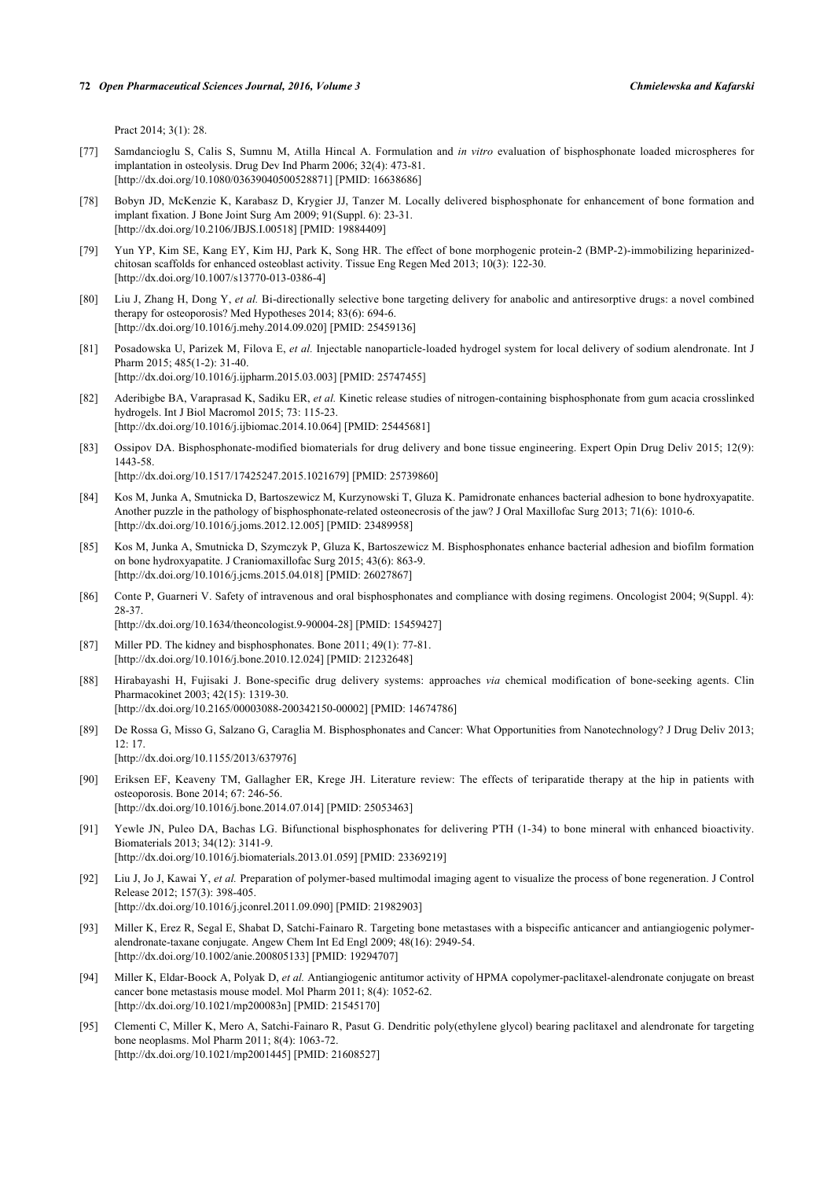Pract 2014; 3(1): 28.

- <span id="page-16-0"></span>[77] Samdancioglu S, Calis S, Sumnu M, Atilla Hincal A. Formulation and *in vitro* evaluation of bisphosphonate loaded microspheres for implantation in osteolysis. Drug Dev Ind Pharm 2006; 32(4): 473-81. [\[http://dx.doi.org/10.1080/03639040500528871\]](http://dx.doi.org/10.1080/03639040500528871) [PMID: [16638686](http://www.ncbi.nlm.nih.gov/pubmed/16638686)]
- [78] Bobyn JD, McKenzie K, Karabasz D, Krygier JJ, Tanzer M. Locally delivered bisphosphonate for enhancement of bone formation and implant fixation. J Bone Joint Surg Am 2009; 91(Suppl. 6): 23-31. [\[http://dx.doi.org/10.2106/JBJS.I.00518](http://dx.doi.org/10.2106/JBJS.I.00518)] [PMID: [19884409](http://www.ncbi.nlm.nih.gov/pubmed/19884409)]
- [79] Yun YP, Kim SE, Kang EY, Kim HJ, Park K, Song HR. The effect of bone morphogenic protein-2 (BMP-2)-immobilizing heparinizedchitosan scaffolds for enhanced osteoblast activity. Tissue Eng Regen Med 2013; 10(3): 122-30. [\[http://dx.doi.org/10.1007/s13770-013-0386-4\]](http://dx.doi.org/10.1007/s13770-013-0386-4)
- [80] Liu J, Zhang H, Dong Y, *et al.* Bi-directionally selective bone targeting delivery for anabolic and antiresorptive drugs: a novel combined therapy for osteoporosis? Med Hypotheses 2014; 83(6): 694-6. [\[http://dx.doi.org/10.1016/j.mehy.2014.09.020\]](http://dx.doi.org/10.1016/j.mehy.2014.09.020) [PMID: [25459136](http://www.ncbi.nlm.nih.gov/pubmed/25459136)]
- [81] Posadowska U, Parizek M, Filova E, *et al.* Injectable nanoparticle-loaded hydrogel system for local delivery of sodium alendronate. Int J Pharm 2015; 485(1-2): 31-40. [\[http://dx.doi.org/10.1016/j.ijpharm.2015.03.003\]](http://dx.doi.org/10.1016/j.ijpharm.2015.03.003) [PMID: [25747455](http://www.ncbi.nlm.nih.gov/pubmed/25747455)]
- [82] Aderibigbe BA, Varaprasad K, Sadiku ER, *et al.* Kinetic release studies of nitrogen-containing bisphosphonate from gum acacia crosslinked hydrogels. Int J Biol Macromol 2015; 73: 115-23. [\[http://dx.doi.org/10.1016/j.ijbiomac.2014.10.064](http://dx.doi.org/10.1016/j.ijbiomac.2014.10.064)] [PMID: [25445681\]](http://www.ncbi.nlm.nih.gov/pubmed/25445681)
- <span id="page-16-1"></span>[83] Ossipov DA. Bisphosphonate-modified biomaterials for drug delivery and bone tissue engineering. Expert Opin Drug Deliv 2015; 12(9): 1443-58. [\[http://dx.doi.org/10.1517/17425247.2015.1021679\]](http://dx.doi.org/10.1517/17425247.2015.1021679) [PMID: [25739860](http://www.ncbi.nlm.nih.gov/pubmed/25739860)]
- <span id="page-16-2"></span>[84] Kos M, Junka A, Smutnicka D, Bartoszewicz M, Kurzynowski T, Gluza K. Pamidronate enhances bacterial adhesion to bone hydroxyapatite. Another puzzle in the pathology of bisphosphonate-related osteonecrosis of the jaw? J Oral Maxillofac Surg 2013; 71(6): 1010-6. [\[http://dx.doi.org/10.1016/j.joms.2012.12.005\]](http://dx.doi.org/10.1016/j.joms.2012.12.005) [PMID: [23489958](http://www.ncbi.nlm.nih.gov/pubmed/23489958)]
- <span id="page-16-3"></span>[85] Kos M, Junka A, Smutnicka D, Szymczyk P, Gluza K, Bartoszewicz M. Bisphosphonates enhance bacterial adhesion and biofilm formation on bone hydroxyapatite. J Craniomaxillofac Surg 2015; 43(6): 863-9. [\[http://dx.doi.org/10.1016/j.jcms.2015.04.018](http://dx.doi.org/10.1016/j.jcms.2015.04.018)] [PMID: [26027867\]](http://www.ncbi.nlm.nih.gov/pubmed/26027867)
- <span id="page-16-4"></span>[86] Conte P, Guarneri V. Safety of intravenous and oral bisphosphonates and compliance with dosing regimens. Oncologist 2004; 9(Suppl. 4): 28-37.

[\[http://dx.doi.org/10.1634/theoncologist.9-90004-28](http://dx.doi.org/10.1634/theoncologist.9-90004-28)] [PMID: [15459427\]](http://www.ncbi.nlm.nih.gov/pubmed/15459427)

- <span id="page-16-5"></span>[87] Miller PD. The kidney and bisphosphonates. Bone 2011; 49(1): 77-81. [\[http://dx.doi.org/10.1016/j.bone.2010.12.024\]](http://dx.doi.org/10.1016/j.bone.2010.12.024) [PMID: [21232648](http://www.ncbi.nlm.nih.gov/pubmed/21232648)]
- <span id="page-16-6"></span>[88] Hirabayashi H, Fujisaki J. Bone-specific drug delivery systems: approaches *via* chemical modification of bone-seeking agents. Clin Pharmacokinet 2003; 42(15): 1319-30. [\[http://dx.doi.org/10.2165/00003088-200342150-00002](http://dx.doi.org/10.2165/00003088-200342150-00002)] [PMID: [14674786\]](http://www.ncbi.nlm.nih.gov/pubmed/14674786)
- <span id="page-16-7"></span>[89] De Rossa G, Misso G, Salzano G, Caraglia M. Bisphosphonates and Cancer: What Opportunities from Nanotechnology? J Drug Deliv 2013;  $12:17$

[\[http://dx.doi.org/10.1155/2013/637976](http://dx.doi.org/10.1155/2013/637976)]

- <span id="page-16-8"></span>[90] Eriksen EF, Keaveny TM, Gallagher ER, Krege JH. Literature review: The effects of teriparatide therapy at the hip in patients with osteoporosis. Bone 2014; 67: 246-56. [\[http://dx.doi.org/10.1016/j.bone.2014.07.014\]](http://dx.doi.org/10.1016/j.bone.2014.07.014) [PMID: [25053463](http://www.ncbi.nlm.nih.gov/pubmed/25053463)]
- <span id="page-16-9"></span>[91] Yewle JN, Puleo DA, Bachas LG. Bifunctional bisphosphonates for delivering PTH (1-34) to bone mineral with enhanced bioactivity. Biomaterials 2013; 34(12): 3141-9. [\[http://dx.doi.org/10.1016/j.biomaterials.2013.01.059\]](http://dx.doi.org/10.1016/j.biomaterials.2013.01.059) [PMID: [23369219](http://www.ncbi.nlm.nih.gov/pubmed/23369219)]
- <span id="page-16-10"></span>[92] Liu J, Jo J, Kawai Y, *et al.* Preparation of polymer-based multimodal imaging agent to visualize the process of bone regeneration. J Control Release 2012; 157(3): 398-405. [\[http://dx.doi.org/10.1016/j.jconrel.2011.09.090](http://dx.doi.org/10.1016/j.jconrel.2011.09.090)] [PMID: [21982903\]](http://www.ncbi.nlm.nih.gov/pubmed/21982903)
- <span id="page-16-11"></span>[93] Miller K, Erez R, Segal E, Shabat D, Satchi-Fainaro R. Targeting bone metastases with a bispecific anticancer and antiangiogenic polymeralendronate-taxane conjugate. Angew Chem Int Ed Engl 2009; 48(16): 2949-54. [\[http://dx.doi.org/10.1002/anie.200805133](http://dx.doi.org/10.1002/anie.200805133)] [PMID: [19294707\]](http://www.ncbi.nlm.nih.gov/pubmed/19294707)
- [94] Miller K, Eldar-Boock A, Polyak D, *et al.* Antiangiogenic antitumor activity of HPMA copolymer-paclitaxel-alendronate conjugate on breast cancer bone metastasis mouse model. Mol Pharm 2011; 8(4): 1052-62. [\[http://dx.doi.org/10.1021/mp200083n](http://dx.doi.org/10.1021/mp200083n)] [PMID: [21545170\]](http://www.ncbi.nlm.nih.gov/pubmed/21545170)
- [95] Clementi C, Miller K, Mero A, Satchi-Fainaro R, Pasut G. Dendritic poly(ethylene glycol) bearing paclitaxel and alendronate for targeting bone neoplasms. Mol Pharm 2011; 8(4): 1063-72. [\[http://dx.doi.org/10.1021/mp2001445](http://dx.doi.org/10.1021/mp2001445)] [PMID: [21608527\]](http://www.ncbi.nlm.nih.gov/pubmed/21608527)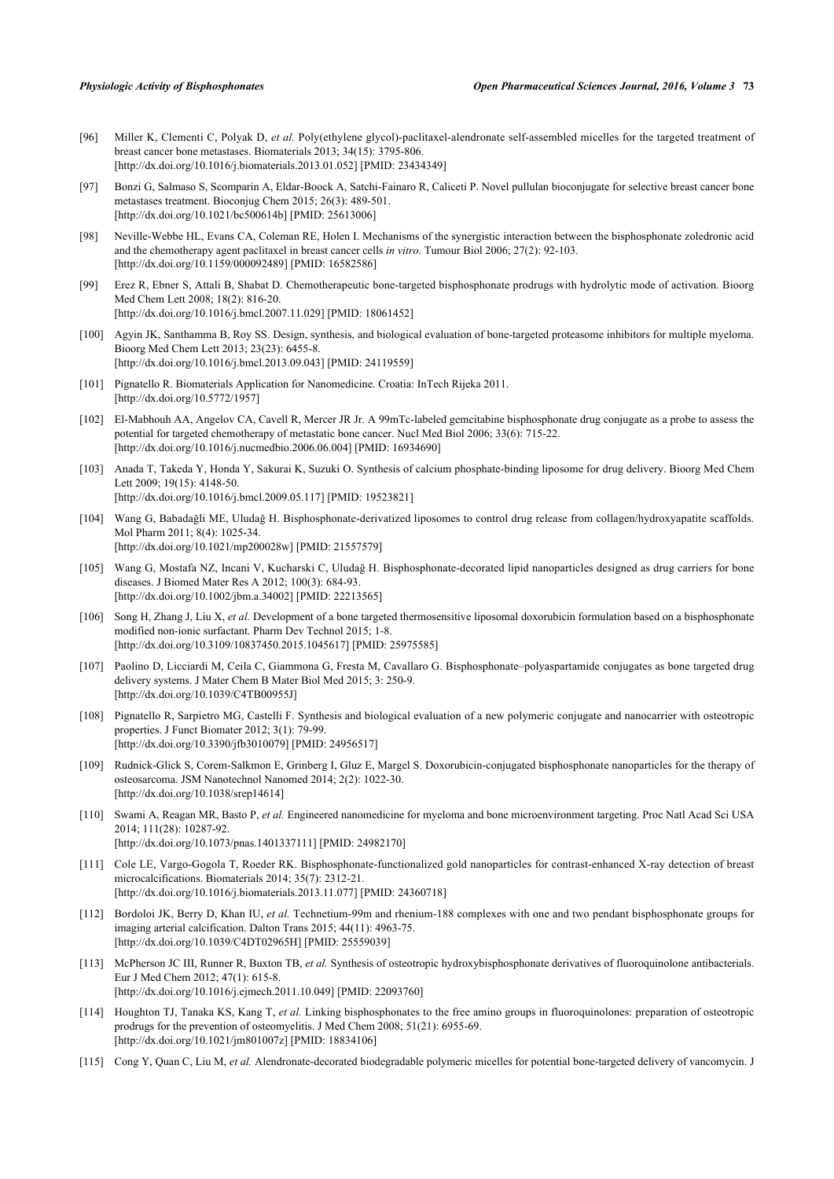- [96] Miller K, Clementi C, Polyak D, *et al.* Poly(ethylene glycol)-paclitaxel-alendronate self-assembled micelles for the targeted treatment of breast cancer bone metastases. Biomaterials 2013; 34(15): 3795-806. [\[http://dx.doi.org/10.1016/j.biomaterials.2013.01.052\]](http://dx.doi.org/10.1016/j.biomaterials.2013.01.052) [PMID: [23434349](http://www.ncbi.nlm.nih.gov/pubmed/23434349)]
- <span id="page-17-0"></span>[97] Bonzi G, Salmaso S, Scomparin A, Eldar-Boock A, Satchi-Fainaro R, Caliceti P. Novel pullulan bioconjugate for selective breast cancer bone metastases treatment. Bioconjug Chem 2015; 26(3): 489-501. [\[http://dx.doi.org/10.1021/bc500614b](http://dx.doi.org/10.1021/bc500614b)] [PMID: [25613006\]](http://www.ncbi.nlm.nih.gov/pubmed/25613006)
- <span id="page-17-1"></span>[98] Neville-Webbe HL, Evans CA, Coleman RE, Holen I. Mechanisms of the synergistic interaction between the bisphosphonate zoledronic acid and the chemotherapy agent paclitaxel in breast cancer cells *in vitro*. Tumour Biol 2006; 27(2): 92-103. [\[http://dx.doi.org/10.1159/000092489\]](http://dx.doi.org/10.1159/000092489) [PMID: [16582586](http://www.ncbi.nlm.nih.gov/pubmed/16582586)]
- <span id="page-17-2"></span>[99] Erez R, Ebner S, Attali B, Shabat D. Chemotherapeutic bone-targeted bisphosphonate prodrugs with hydrolytic mode of activation. Bioorg Med Chem Lett 2008; 18(2): 816-20. [\[http://dx.doi.org/10.1016/j.bmcl.2007.11.029](http://dx.doi.org/10.1016/j.bmcl.2007.11.029)] [PMID: [18061452\]](http://www.ncbi.nlm.nih.gov/pubmed/18061452)
- <span id="page-17-3"></span>[100] Agyin JK, Santhamma B, Roy SS. Design, synthesis, and biological evaluation of bone-targeted proteasome inhibitors for multiple myeloma. Bioorg Med Chem Lett 2013; 23(23): 6455-8. [\[http://dx.doi.org/10.1016/j.bmcl.2013.09.043](http://dx.doi.org/10.1016/j.bmcl.2013.09.043)] [PMID: [24119559\]](http://www.ncbi.nlm.nih.gov/pubmed/24119559)
- <span id="page-17-4"></span>[101] Pignatello R. Biomaterials Application for Nanomedicine. Croatia: InTech Rijeka 2011. [\[http://dx.doi.org/10.5772/1957\]](http://dx.doi.org/10.5772/1957)
- <span id="page-17-5"></span>[102] El-Mabhouh AA, Angelov CA, Cavell R, Mercer JR Jr. A 99mTc-labeled gemcitabine bisphosphonate drug conjugate as a probe to assess the potential for targeted chemotherapy of metastatic bone cancer. Nucl Med Biol 2006; 33(6): 715-22. [\[http://dx.doi.org/10.1016/j.nucmedbio.2006.06.004\]](http://dx.doi.org/10.1016/j.nucmedbio.2006.06.004) [PMID: [16934690](http://www.ncbi.nlm.nih.gov/pubmed/16934690)]
- <span id="page-17-6"></span>[103] Anada T, Takeda Y, Honda Y, Sakurai K, Suzuki O. Synthesis of calcium phosphate-binding liposome for drug delivery. Bioorg Med Chem Lett 2009; 19(15): 4148-50. [\[http://dx.doi.org/10.1016/j.bmcl.2009.05.117](http://dx.doi.org/10.1016/j.bmcl.2009.05.117)] [PMID: [19523821\]](http://www.ncbi.nlm.nih.gov/pubmed/19523821)
- [104] Wang G, Babadağli ME, Uludağ H. Bisphosphonate-derivatized liposomes to control drug release from collagen/hydroxyapatite scaffolds. Mol Pharm 2011; 8(4): 1025-34. [\[http://dx.doi.org/10.1021/mp200028w\]](http://dx.doi.org/10.1021/mp200028w) [PMID: [21557579](http://www.ncbi.nlm.nih.gov/pubmed/21557579)]
- [105] Wang G, Mostafa NZ, Incani V, Kucharski C, Uludağ H. Bisphosphonate-decorated lipid nanoparticles designed as drug carriers for bone diseases. J Biomed Mater Res A 2012; 100(3): 684-93. [\[http://dx.doi.org/10.1002/jbm.a.34002\]](http://dx.doi.org/10.1002/jbm.a.34002) [PMID: [22213565](http://www.ncbi.nlm.nih.gov/pubmed/22213565)]
- <span id="page-17-7"></span>[106] Song H, Zhang J, Liu X, *et al.* Development of a bone targeted thermosensitive liposomal doxorubicin formulation based on a bisphosphonate modified non-ionic surfactant. Pharm Dev Technol 2015; 1-8. [\[http://dx.doi.org/10.3109/10837450.2015.1045617\]](http://dx.doi.org/10.3109/10837450.2015.1045617) [PMID: [25975585](http://www.ncbi.nlm.nih.gov/pubmed/25975585)]
- <span id="page-17-8"></span>[107] Paolino D, Licciardi M, Ceila C, Giammona G, Fresta M, Cavallaro G. Bisphosphonate–polyaspartamide conjugates as bone targeted drug delivery systems. J Mater Chem B Mater Biol Med 2015; 3: 250-9. [\[http://dx.doi.org/10.1039/C4TB00955J](http://dx.doi.org/10.1039/C4TB00955J)]
- [108] Pignatello R, Sarpietro MG, Castelli F. Synthesis and biological evaluation of a new polymeric conjugate and nanocarrier with osteotropic properties. J Funct Biomater 2012; 3(1): 79-99. [\[http://dx.doi.org/10.3390/jfb3010079\]](http://dx.doi.org/10.3390/jfb3010079) [PMID: [24956517](http://www.ncbi.nlm.nih.gov/pubmed/24956517)]
- [109] Rudnick-Glick S, Corem-Salkmon E, Grinberg I, Gluz E, Margel S. Doxorubicin-conjugated bisphosphonate nanoparticles for the therapy of osteosarcoma. JSM Nanotechnol Nanomed 2014; 2(2): 1022-30. [\[http://dx.doi.org/10.1038/srep14614](http://dx.doi.org/10.1038/srep14614)]
- <span id="page-17-9"></span>[110] Swami A, Reagan MR, Basto P, *et al.* Engineered nanomedicine for myeloma and bone microenvironment targeting. Proc Natl Acad Sci USA 2014; 111(28): 10287-92. [\[http://dx.doi.org/10.1073/pnas.1401337111](http://dx.doi.org/10.1073/pnas.1401337111)] [PMID: [24982170](http://www.ncbi.nlm.nih.gov/pubmed/24982170)]
- <span id="page-17-10"></span>[111] Cole LE, Vargo-Gogola T, Roeder RK. Bisphosphonate-functionalized gold nanoparticles for contrast-enhanced X-ray detection of breast microcalcifications. Biomaterials 2014; 35(7): 2312-21. [\[http://dx.doi.org/10.1016/j.biomaterials.2013.11.077\]](http://dx.doi.org/10.1016/j.biomaterials.2013.11.077) [PMID: [24360718](http://www.ncbi.nlm.nih.gov/pubmed/24360718)]
- <span id="page-17-11"></span>[112] Bordoloi JK, Berry D, Khan IU, *et al.* Technetium-99m and rhenium-188 complexes with one and two pendant bisphosphonate groups for imaging arterial calcification. Dalton Trans 2015; 44(11): 4963-75. [\[http://dx.doi.org/10.1039/C4DT02965H\]](http://dx.doi.org/10.1039/C4DT02965H) [PMID: [25559039](http://www.ncbi.nlm.nih.gov/pubmed/25559039)]
- <span id="page-17-12"></span>[113] McPherson JC III, Runner R, Buxton TB, *et al.* Synthesis of osteotropic hydroxybisphosphonate derivatives of fluoroquinolone antibacterials. Eur J Med Chem 2012; 47(1): 615-8. [\[http://dx.doi.org/10.1016/j.ejmech.2011.10.049](http://dx.doi.org/10.1016/j.ejmech.2011.10.049)] [PMID: [22093760\]](http://www.ncbi.nlm.nih.gov/pubmed/22093760)
- <span id="page-17-13"></span>[114] Houghton TJ, Tanaka KS, Kang T, *et al.* Linking bisphosphonates to the free amino groups in fluoroquinolones: preparation of osteotropic prodrugs for the prevention of osteomyelitis. J Med Chem 2008; 51(21): 6955-69. [\[http://dx.doi.org/10.1021/jm801007z\]](http://dx.doi.org/10.1021/jm801007z) [PMID: [18834106](http://www.ncbi.nlm.nih.gov/pubmed/18834106)]
- <span id="page-17-14"></span>[115] Cong Y, Quan C, Liu M, *et al.* Alendronate-decorated biodegradable polymeric micelles for potential bone-targeted delivery of vancomycin. J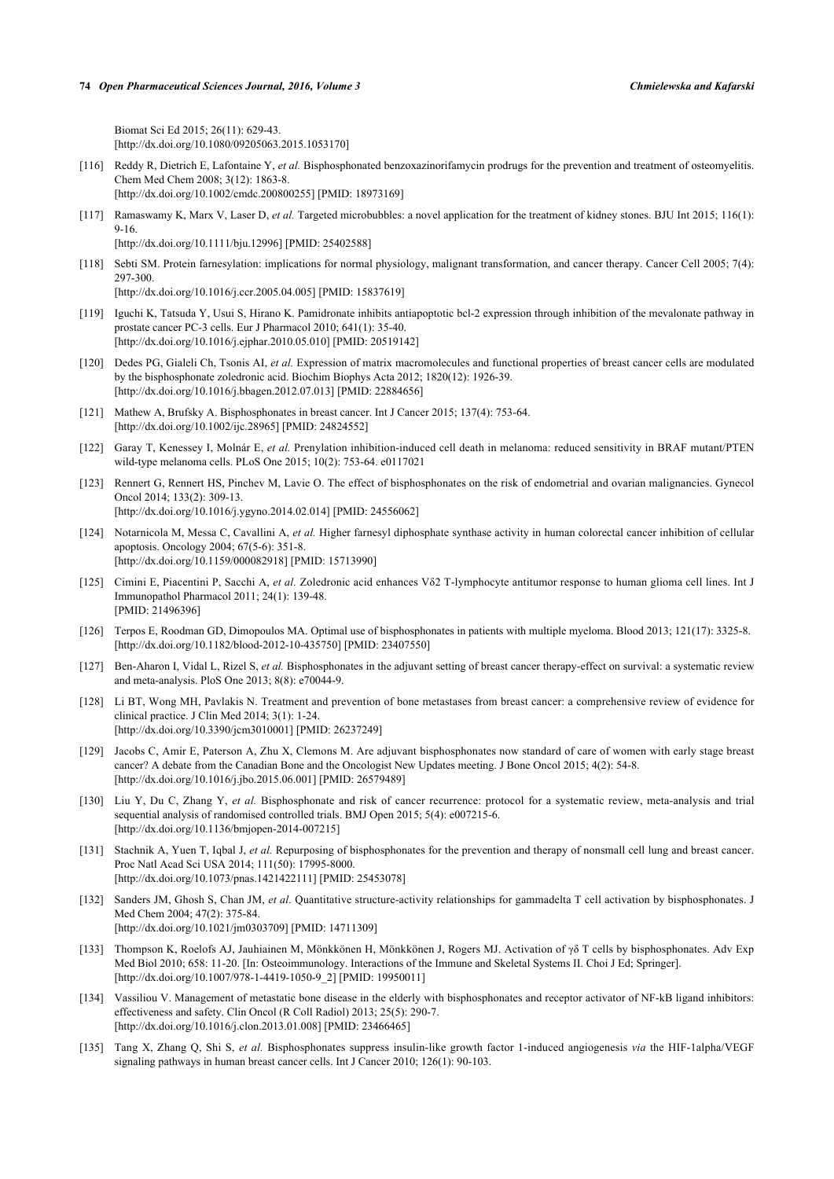Biomat Sci Ed 2015; 26(11): 629-43. [\[http://dx.doi.org/10.1080/09205063.2015.1053170\]](http://dx.doi.org/10.1080/09205063.2015.1053170)

- <span id="page-18-0"></span>[116] Reddy R, Dietrich E, Lafontaine Y, *et al.* Bisphosphonated benzoxazinorifamycin prodrugs for the prevention and treatment of osteomyelitis. Chem Med Chem 2008; 3(12): 1863-8.
	- [\[http://dx.doi.org/10.1002/cmdc.200800255](http://dx.doi.org/10.1002/cmdc.200800255)] [PMID: [18973169\]](http://www.ncbi.nlm.nih.gov/pubmed/18973169)
- <span id="page-18-1"></span>[117] Ramaswamy K, Marx V, Laser D, *et al.* Targeted microbubbles: a novel application for the treatment of kidney stones. BJU Int 2015; 116(1): 9-16. [\[http://dx.doi.org/10.1111/bju.12996](http://dx.doi.org/10.1111/bju.12996)] [PMID: [25402588\]](http://www.ncbi.nlm.nih.gov/pubmed/25402588)
- <span id="page-18-2"></span>[118] Sebti SM. Protein farnesylation: implications for normal physiology, malignant transformation, and cancer therapy. Cancer Cell 2005; 7(4): 297-300.

[\[http://dx.doi.org/10.1016/j.ccr.2005.04.005\]](http://dx.doi.org/10.1016/j.ccr.2005.04.005) [PMID: [15837619](http://www.ncbi.nlm.nih.gov/pubmed/15837619)]

- <span id="page-18-3"></span>[119] Iguchi K, Tatsuda Y, Usui S, Hirano K. Pamidronate inhibits antiapoptotic bcl-2 expression through inhibition of the mevalonate pathway in prostate cancer PC-3 cells. Eur J Pharmacol 2010; 641(1): 35-40. [\[http://dx.doi.org/10.1016/j.ejphar.2010.05.010](http://dx.doi.org/10.1016/j.ejphar.2010.05.010)] [PMID: [20519142\]](http://www.ncbi.nlm.nih.gov/pubmed/20519142)
- <span id="page-18-4"></span>[120] Dedes PG, Gialeli Ch, Tsonis AI, *et al.* Expression of matrix macromolecules and functional properties of breast cancer cells are modulated by the bisphosphonate zoledronic acid. Biochim Biophys Acta 2012; 1820(12): 1926-39. [\[http://dx.doi.org/10.1016/j.bbagen.2012.07.013](http://dx.doi.org/10.1016/j.bbagen.2012.07.013)] [PMID: [22884656\]](http://www.ncbi.nlm.nih.gov/pubmed/22884656)
- <span id="page-18-5"></span>[121] Mathew A, Brufsky A. Bisphosphonates in breast cancer. Int J Cancer 2015; 137(4): 753-64. [\[http://dx.doi.org/10.1002/ijc.28965\]](http://dx.doi.org/10.1002/ijc.28965) [PMID: [24824552](http://www.ncbi.nlm.nih.gov/pubmed/24824552)]
- <span id="page-18-6"></span>[122] Garay T, Kenessey I, Molnár E, *et al.* Prenylation inhibition-induced cell death in melanoma: reduced sensitivity in BRAF mutant/PTEN wild-type melanoma cells. PLoS One 2015; 10(2): 753-64. e0117021
- <span id="page-18-7"></span>[123] Rennert G, Rennert HS, Pinchev M, Lavie O. The effect of bisphosphonates on the risk of endometrial and ovarian malignancies. Gynecol Oncol 2014; 133(2): 309-13. [\[http://dx.doi.org/10.1016/j.ygyno.2014.02.014](http://dx.doi.org/10.1016/j.ygyno.2014.02.014)] [PMID: [24556062\]](http://www.ncbi.nlm.nih.gov/pubmed/24556062)
- <span id="page-18-8"></span>[124] Notarnicola M, Messa C, Cavallini A, *et al.* Higher farnesyl diphosphate synthase activity in human colorectal cancer inhibition of cellular apoptosis. Oncology 2004; 67(5-6): 351-8. [\[http://dx.doi.org/10.1159/000082918\]](http://dx.doi.org/10.1159/000082918) [PMID: [15713990](http://www.ncbi.nlm.nih.gov/pubmed/15713990)]
- <span id="page-18-9"></span>[125] Cimini E, Piacentini P, Sacchi A, *et al.* Zoledronic acid enhances Vδ2 T-lymphocyte antitumor response to human glioma cell lines. Int J Immunopathol Pharmacol 2011; 24(1): 139-48. [PMID: [21496396\]](http://www.ncbi.nlm.nih.gov/pubmed/21496396)
- <span id="page-18-10"></span>[126] Terpos E, Roodman GD, Dimopoulos MA. Optimal use of bisphosphonates in patients with multiple myeloma. Blood 2013; 121(17): 3325-8. [\[http://dx.doi.org/10.1182/blood-2012-10-435750](http://dx.doi.org/10.1182/blood-2012-10-435750)] [PMID: [23407550\]](http://www.ncbi.nlm.nih.gov/pubmed/23407550)
- <span id="page-18-11"></span>[127] Ben-Aharon I, Vidal L, Rizel S, *et al.* Bisphosphonates in the adjuvant setting of breast cancer therapy-effect on survival: a systematic review and meta-analysis. PloS One 2013; 8(8): e70044-9.
- [128] Li BT, Wong MH, Pavlakis N. Treatment and prevention of bone metastases from breast cancer: a comprehensive review of evidence for clinical practice. J Clin Med 2014; 3(1): 1-24. [\[http://dx.doi.org/10.3390/jcm3010001\]](http://dx.doi.org/10.3390/jcm3010001) [PMID: [26237249](http://www.ncbi.nlm.nih.gov/pubmed/26237249)]
- <span id="page-18-12"></span>[129] Jacobs C, Amir E, Paterson A, Zhu X, Clemons M. Are adjuvant bisphosphonates now standard of care of women with early stage breast cancer? A debate from the Canadian Bone and the Oncologist New Updates meeting. J Bone Oncol 2015; 4(2): 54-8. [\[http://dx.doi.org/10.1016/j.jbo.2015.06.001](http://dx.doi.org/10.1016/j.jbo.2015.06.001)] [PMID: [26579489\]](http://www.ncbi.nlm.nih.gov/pubmed/26579489)
- <span id="page-18-13"></span>[130] Liu Y, Du C, Zhang Y, *et al.* Bisphosphonate and risk of cancer recurrence: protocol for a systematic review, meta-analysis and trial sequential analysis of randomised controlled trials. BMJ Open 2015; 5(4): e007215-6. [\[http://dx.doi.org/10.1136/bmjopen-2014-007215](http://dx.doi.org/10.1136/bmjopen-2014-007215)]
- <span id="page-18-14"></span>[131] Stachnik A, Yuen T, Iqbal J, *et al.* Repurposing of bisphosphonates for the prevention and therapy of nonsmall cell lung and breast cancer. Proc Natl Acad Sci USA 2014; 111(50): 17995-8000. [\[http://dx.doi.org/10.1073/pnas.1421422111](http://dx.doi.org/10.1073/pnas.1421422111)] [PMID: [25453078](http://www.ncbi.nlm.nih.gov/pubmed/25453078)]
- <span id="page-18-15"></span>[132] Sanders JM, Ghosh S, Chan JM, *et al.* Quantitative structure-activity relationships for gammadelta T cell activation by bisphosphonates. J Med Chem 2004; 47(2): 375-84. [\[http://dx.doi.org/10.1021/jm0303709](http://dx.doi.org/10.1021/jm0303709)] [PMID: [14711309\]](http://www.ncbi.nlm.nih.gov/pubmed/14711309)
- <span id="page-18-16"></span>[133] Thompson K, Roelofs AJ, Jauhiainen M, Mönkkönen H, Mönkkönen J, Rogers MJ. Activation of γδ T cells by bisphosphonates. Adv Exp Med Biol 2010; 658: 11-20. [In: Osteoimmunology. Interactions of the Immune and Skeletal Systems II. Choi J Ed; Springer]. [\[http://dx.doi.org/10.1007/978-1-4419-1050-9\\_2](http://dx.doi.org/10.1007/978-1-4419-1050-9_2)] [PMID: [19950011](http://www.ncbi.nlm.nih.gov/pubmed/19950011)]
- <span id="page-18-17"></span>[134] Vassiliou V. Management of metastatic bone disease in the elderly with bisphosphonates and receptor activator of NF-kB ligand inhibitors: effectiveness and safety. Clin Oncol (R Coll Radiol) 2013; 25(5): 290-7. [\[http://dx.doi.org/10.1016/j.clon.2013.01.008\]](http://dx.doi.org/10.1016/j.clon.2013.01.008) [PMID: [23466465](http://www.ncbi.nlm.nih.gov/pubmed/23466465)]
- <span id="page-18-18"></span>[135] Tang X, Zhang Q, Shi S, *et al.* Bisphosphonates suppress insulin-like growth factor 1-induced angiogenesis *via* the HIF-1alpha/VEGF signaling pathways in human breast cancer cells. Int J Cancer 2010; 126(1): 90-103.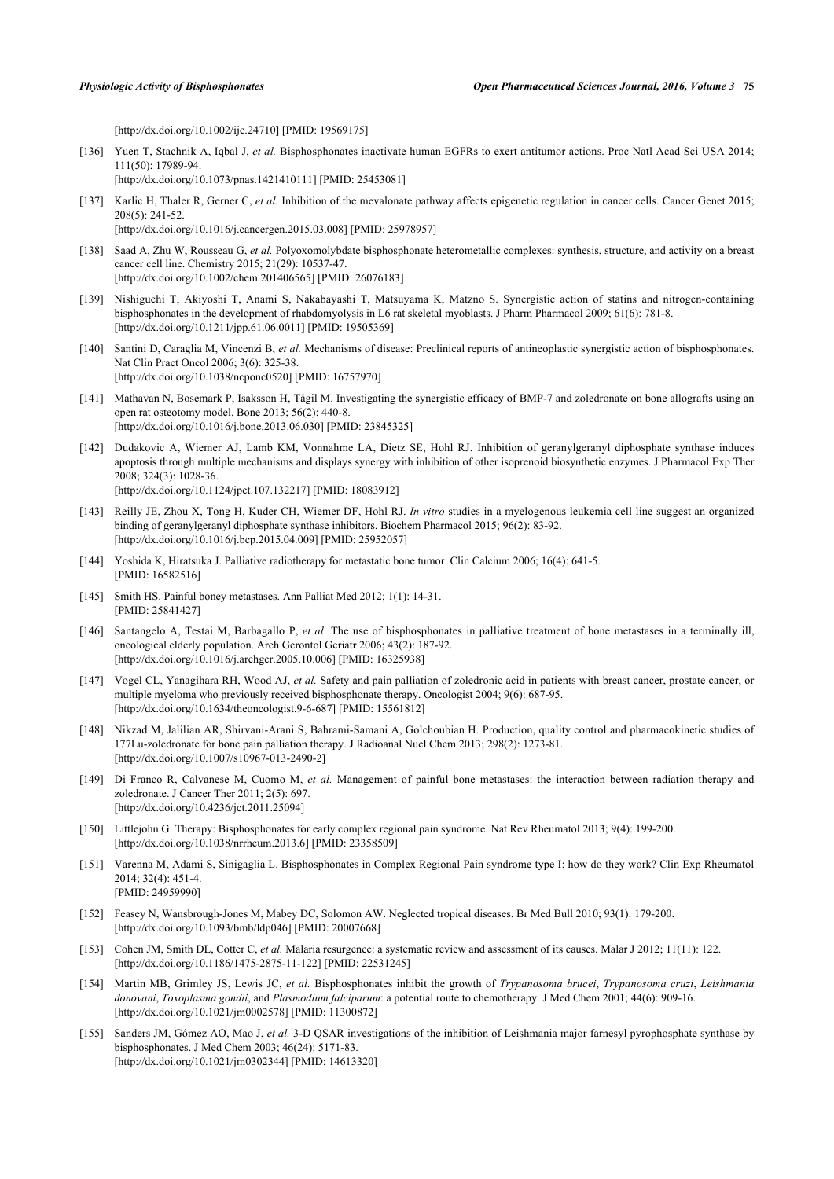[\[http://dx.doi.org/10.1002/ijc.24710\]](http://dx.doi.org/10.1002/ijc.24710) [PMID: [19569175](http://www.ncbi.nlm.nih.gov/pubmed/19569175)]

- <span id="page-19-0"></span>[136] Yuen T, Stachnik A, Iqbal J, *et al.* Bisphosphonates inactivate human EGFRs to exert antitumor actions. Proc Natl Acad Sci USA 2014; 111(50): 17989-94. [\[http://dx.doi.org/10.1073/pnas.1421410111](http://dx.doi.org/10.1073/pnas.1421410111)] [PMID: [25453081](http://www.ncbi.nlm.nih.gov/pubmed/25453081)]
- <span id="page-19-1"></span>[137] Karlic H, Thaler R, Gerner C, *et al.* Inhibition of the mevalonate pathway affects epigenetic regulation in cancer cells. Cancer Genet 2015; 208(5): 241-52. [\[http://dx.doi.org/10.1016/j.cancergen.2015.03.008](http://dx.doi.org/10.1016/j.cancergen.2015.03.008)] [PMID: [25978957](http://www.ncbi.nlm.nih.gov/pubmed/25978957)]
- <span id="page-19-2"></span>[138] Saad A, Zhu W, Rousseau G, *et al.* Polyoxomolybdate bisphosphonate heterometallic complexes: synthesis, structure, and activity on a breast cancer cell line. Chemistry 2015; 21(29): 10537-47. [\[http://dx.doi.org/10.1002/chem.201406565](http://dx.doi.org/10.1002/chem.201406565)] [PMID: [26076183\]](http://www.ncbi.nlm.nih.gov/pubmed/26076183)
- <span id="page-19-3"></span>[139] Nishiguchi T, Akiyoshi T, Anami S, Nakabayashi T, Matsuyama K, Matzno S. Synergistic action of statins and nitrogen-containing bisphosphonates in the development of rhabdomyolysis in L6 rat skeletal myoblasts. J Pharm Pharmacol 2009; 61(6): 781-8. [\[http://dx.doi.org/10.1211/jpp.61.06.0011](http://dx.doi.org/10.1211/jpp.61.06.0011)] [PMID: [19505369\]](http://www.ncbi.nlm.nih.gov/pubmed/19505369)
- [140] Santini D, Caraglia M, Vincenzi B, *et al.* Mechanisms of disease: Preclinical reports of antineoplastic synergistic action of bisphosphonates. Nat Clin Pract Oncol 2006; 3(6): 325-38. [\[http://dx.doi.org/10.1038/ncponc0520\]](http://dx.doi.org/10.1038/ncponc0520) [PMID: [16757970](http://www.ncbi.nlm.nih.gov/pubmed/16757970)]
- <span id="page-19-4"></span>[141] Mathavan N, Bosemark P, Isaksson H, Tägil M. Investigating the synergistic efficacy of BMP-7 and zoledronate on bone allografts using an open rat osteotomy model. Bone 2013; 56(2): 440-8. [\[http://dx.doi.org/10.1016/j.bone.2013.06.030\]](http://dx.doi.org/10.1016/j.bone.2013.06.030) [PMID: [23845325](http://www.ncbi.nlm.nih.gov/pubmed/23845325)]
- <span id="page-19-5"></span>[142] Dudakovic A, Wiemer AJ, Lamb KM, Vonnahme LA, Dietz SE, Hohl RJ. Inhibition of geranylgeranyl diphosphate synthase induces apoptosis through multiple mechanisms and displays synergy with inhibition of other isoprenoid biosynthetic enzymes. J Pharmacol Exp Ther 2008; 324(3): 1028-36. [\[http://dx.doi.org/10.1124/jpet.107.132217\]](http://dx.doi.org/10.1124/jpet.107.132217) [PMID: [18083912](http://www.ncbi.nlm.nih.gov/pubmed/18083912)]
- <span id="page-19-6"></span>[143] Reilly JE, Zhou X, Tong H, Kuder CH, Wiemer DF, Hohl RJ. *In vitro* studies in a myelogenous leukemia cell line suggest an organized binding of geranylgeranyl diphosphate synthase inhibitors. Biochem Pharmacol 2015; 96(2): 83-92. [\[http://dx.doi.org/10.1016/j.bcp.2015.04.009\]](http://dx.doi.org/10.1016/j.bcp.2015.04.009) [PMID: [25952057](http://www.ncbi.nlm.nih.gov/pubmed/25952057)]
- <span id="page-19-7"></span>[144] Yoshida K, Hiratsuka J. Palliative radiotherapy for metastatic bone tumor. Clin Calcium 2006; 16(4): 641-5. [PMID: [16582516\]](http://www.ncbi.nlm.nih.gov/pubmed/16582516)
- [145] Smith HS. Painful boney metastases. Ann Palliat Med 2012; 1(1): 14-31. [PMID: [25841427\]](http://www.ncbi.nlm.nih.gov/pubmed/25841427)
- <span id="page-19-8"></span>[146] Santangelo A, Testai M, Barbagallo P, *et al.* The use of bisphosphonates in palliative treatment of bone metastases in a terminally ill, oncological elderly population. Arch Gerontol Geriatr 2006; 43(2): 187-92. [\[http://dx.doi.org/10.1016/j.archger.2005.10.006](http://dx.doi.org/10.1016/j.archger.2005.10.006)] [PMID: [16325938\]](http://www.ncbi.nlm.nih.gov/pubmed/16325938)
- <span id="page-19-9"></span>[147] Vogel CL, Yanagihara RH, Wood AJ, et al. Safety and pain palliation of zoledronic acid in patients with breast cancer, prostate cancer, or multiple myeloma who previously received bisphosphonate therapy. Oncologist 2004; 9(6): 687-95. [\[http://dx.doi.org/10.1634/theoncologist.9-6-687](http://dx.doi.org/10.1634/theoncologist.9-6-687)] [PMID: [15561812\]](http://www.ncbi.nlm.nih.gov/pubmed/15561812)
- [148] Nikzad M, Jalilian AR, Shirvani-Arani S, Bahrami-Samani A, Golchoubian H. Production, quality control and pharmacokinetic studies of 177Lu-zoledronate for bone pain palliation therapy. J Radioanal Nucl Chem 2013; 298(2): 1273-81. [\[http://dx.doi.org/10.1007/s10967-013-2490-2\]](http://dx.doi.org/10.1007/s10967-013-2490-2)
- <span id="page-19-10"></span>[149] Di Franco R, Calvanese M, Cuomo M, *et al.* Management of painful bone metastases: the interaction between radiation therapy and zoledronate. J Cancer Ther 2011; 2(5): 697. [\[http://dx.doi.org/10.4236/jct.2011.25094\]](http://dx.doi.org/10.4236/jct.2011.25094)
- <span id="page-19-11"></span>[150] Littlejohn G. Therapy: Bisphosphonates for early complex regional pain syndrome. Nat Rev Rheumatol 2013; 9(4): 199-200. [\[http://dx.doi.org/10.1038/nrrheum.2013.6\]](http://dx.doi.org/10.1038/nrrheum.2013.6) [PMID: [23358509](http://www.ncbi.nlm.nih.gov/pubmed/23358509)]
- <span id="page-19-12"></span>[151] Varenna M, Adami S, Sinigaglia L. Bisphosphonates in Complex Regional Pain syndrome type I: how do they work? Clin Exp Rheumatol 2014; 32(4): 451-4. [PMID: [24959990\]](http://www.ncbi.nlm.nih.gov/pubmed/24959990)
- <span id="page-19-13"></span>[152] Feasey N, Wansbrough-Jones M, Mabey DC, Solomon AW. Neglected tropical diseases. Br Med Bull 2010; 93(1): 179-200. [\[http://dx.doi.org/10.1093/bmb/ldp046](http://dx.doi.org/10.1093/bmb/ldp046)] [PMID: [20007668](http://www.ncbi.nlm.nih.gov/pubmed/20007668)]
- <span id="page-19-14"></span>[153] Cohen JM, Smith DL, Cotter C, *et al.* Malaria resurgence: a systematic review and assessment of its causes. Malar J 2012; 11(11): 122. [\[http://dx.doi.org/10.1186/1475-2875-11-122\]](http://dx.doi.org/10.1186/1475-2875-11-122) [PMID: [22531245](http://www.ncbi.nlm.nih.gov/pubmed/22531245)]
- <span id="page-19-15"></span>[154] Martin MB, Grimley JS, Lewis JC, *et al.* Bisphosphonates inhibit the growth of *Trypanosoma brucei*, *Trypanosoma cruzi*, *Leishmania donovani*, *Toxoplasma gondii*, and *Plasmodium falciparum*: a potential route to chemotherapy. J Med Chem 2001; 44(6): 909-16. [\[http://dx.doi.org/10.1021/jm0002578](http://dx.doi.org/10.1021/jm0002578)] [PMID: [11300872\]](http://www.ncbi.nlm.nih.gov/pubmed/11300872)
- <span id="page-19-16"></span>[155] Sanders JM, Gómez AO, Mao J, *et al.* 3-D QSAR investigations of the inhibition of Leishmania major farnesyl pyrophosphate synthase by bisphosphonates. J Med Chem 2003; 46(24): 5171-83. [\[http://dx.doi.org/10.1021/jm0302344](http://dx.doi.org/10.1021/jm0302344)] [PMID: [14613320\]](http://www.ncbi.nlm.nih.gov/pubmed/14613320)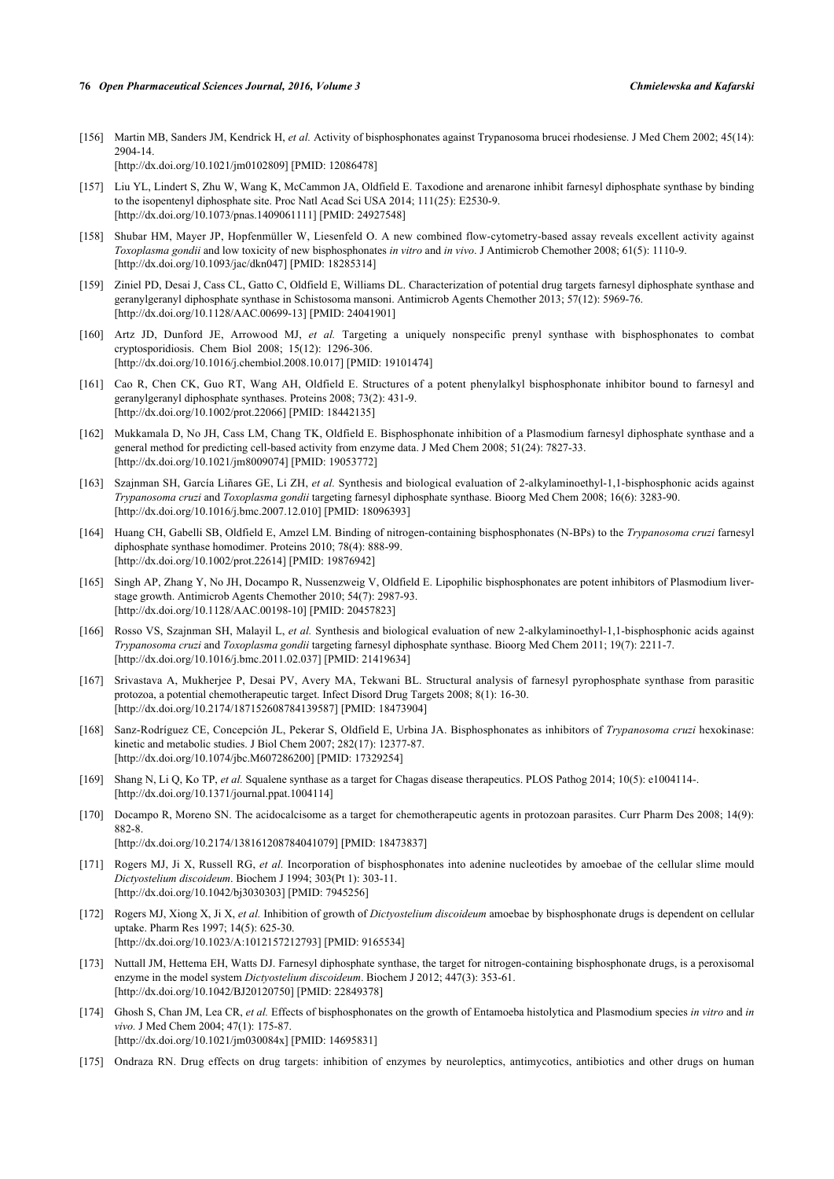- <span id="page-20-0"></span>[156] Martin MB, Sanders JM, Kendrick H, *et al.* Activity of bisphosphonates against Trypanosoma brucei rhodesiense. J Med Chem 2002; 45(14): 2904-14. [\[http://dx.doi.org/10.1021/jm0102809](http://dx.doi.org/10.1021/jm0102809)] [PMID: [12086478\]](http://www.ncbi.nlm.nih.gov/pubmed/12086478)
- <span id="page-20-1"></span>[157] Liu YL, Lindert S, Zhu W, Wang K, McCammon JA, Oldfield E. Taxodione and arenarone inhibit farnesyl diphosphate synthase by binding to the isopentenyl diphosphate site. Proc Natl Acad Sci USA 2014; 111(25): E2530-9. [\[http://dx.doi.org/10.1073/pnas.1409061111](http://dx.doi.org/10.1073/pnas.1409061111)] [PMID: [24927548](http://www.ncbi.nlm.nih.gov/pubmed/24927548)]
- <span id="page-20-2"></span>[158] Shubar HM, Mayer JP, Hopfenmüller W, Liesenfeld O. A new combined flow-cytometry-based assay reveals excellent activity against *Toxoplasma gondii* and low toxicity of new bisphosphonates *in vitro* and *in vivo*. J Antimicrob Chemother 2008; 61(5): 1110-9. [\[http://dx.doi.org/10.1093/jac/dkn047](http://dx.doi.org/10.1093/jac/dkn047)] [PMID: [18285314\]](http://www.ncbi.nlm.nih.gov/pubmed/18285314)
- <span id="page-20-3"></span>[159] Ziniel PD, Desai J, Cass CL, Gatto C, Oldfield E, Williams DL. Characterization of potential drug targets farnesyl diphosphate synthase and geranylgeranyl diphosphate synthase in Schistosoma mansoni. Antimicrob Agents Chemother 2013; 57(12): 5969-76. [\[http://dx.doi.org/10.1128/AAC.00699-13](http://dx.doi.org/10.1128/AAC.00699-13)] [PMID: [24041901\]](http://www.ncbi.nlm.nih.gov/pubmed/24041901)
- <span id="page-20-4"></span>[160] Artz JD, Dunford JE, Arrowood MJ, *et al.* Targeting a uniquely nonspecific prenyl synthase with bisphosphonates to combat cryptosporidiosis. Chem Biol 2008; 15(12): 1296-306. [\[http://dx.doi.org/10.1016/j.chembiol.2008.10.017\]](http://dx.doi.org/10.1016/j.chembiol.2008.10.017) [PMID: [19101474](http://www.ncbi.nlm.nih.gov/pubmed/19101474)]
- <span id="page-20-5"></span>[161] Cao R, Chen CK, Guo RT, Wang AH, Oldfield E. Structures of a potent phenylalkyl bisphosphonate inhibitor bound to farnesyl and geranylgeranyl diphosphate synthases. Proteins 2008; 73(2): 431-9. [\[http://dx.doi.org/10.1002/prot.22066\]](http://dx.doi.org/10.1002/prot.22066) [PMID: [18442135](http://www.ncbi.nlm.nih.gov/pubmed/18442135)]
- [162] Mukkamala D, No JH, Cass LM, Chang TK, Oldfield E. Bisphosphonate inhibition of a Plasmodium farnesyl diphosphate synthase and a general method for predicting cell-based activity from enzyme data. J Med Chem 2008; 51(24): 7827-33. [\[http://dx.doi.org/10.1021/jm8009074](http://dx.doi.org/10.1021/jm8009074)] [PMID: [19053772\]](http://www.ncbi.nlm.nih.gov/pubmed/19053772)
- [163] Szajnman SH, García Liñares GE, Li ZH, *et al.* Synthesis and biological evaluation of 2-alkylaminoethyl-1,1-bisphosphonic acids against *Trypanosoma cruzi* and *Toxoplasma gondii* targeting farnesyl diphosphate synthase. Bioorg Med Chem 2008; 16(6): 3283-90. [\[http://dx.doi.org/10.1016/j.bmc.2007.12.010\]](http://dx.doi.org/10.1016/j.bmc.2007.12.010) [PMID: [18096393](http://www.ncbi.nlm.nih.gov/pubmed/18096393)]
- [164] Huang CH, Gabelli SB, Oldfield E, Amzel LM. Binding of nitrogen-containing bisphosphonates (N-BPs) to the *Trypanosoma cruzi* farnesyl diphosphate synthase homodimer. Proteins 2010; 78(4): 888-99. [\[http://dx.doi.org/10.1002/prot.22614\]](http://dx.doi.org/10.1002/prot.22614) [PMID: [19876942](http://www.ncbi.nlm.nih.gov/pubmed/19876942)]
- [165] Singh AP, Zhang Y, No JH, Docampo R, Nussenzweig V, Oldfield E. Lipophilic bisphosphonates are potent inhibitors of Plasmodium liverstage growth. Antimicrob Agents Chemother 2010; 54(7): 2987-93. [\[http://dx.doi.org/10.1128/AAC.00198-10](http://dx.doi.org/10.1128/AAC.00198-10)] [PMID: [20457823\]](http://www.ncbi.nlm.nih.gov/pubmed/20457823)
- [166] Rosso VS, Szajnman SH, Malayil L, *et al.* Synthesis and biological evaluation of new 2-alkylaminoethyl-1,1-bisphosphonic acids against *Trypanosoma cruzi* and *Toxoplasma gondii* targeting farnesyl diphosphate synthase. Bioorg Med Chem 2011; 19(7): 2211-7. [\[http://dx.doi.org/10.1016/j.bmc.2011.02.037\]](http://dx.doi.org/10.1016/j.bmc.2011.02.037) [PMID: [21419634](http://www.ncbi.nlm.nih.gov/pubmed/21419634)]
- <span id="page-20-6"></span>[167] Srivastava A, Mukherjee P, Desai PV, Avery MA, Tekwani BL. Structural analysis of farnesyl pyrophosphate synthase from parasitic protozoa, a potential chemotherapeutic target. Infect Disord Drug Targets 2008; 8(1): 16-30. [\[http://dx.doi.org/10.2174/187152608784139587\]](http://dx.doi.org/10.2174/187152608784139587) [PMID: [18473904](http://www.ncbi.nlm.nih.gov/pubmed/18473904)]
- <span id="page-20-7"></span>[168] Sanz-Rodríguez CE, Concepción JL, Pekerar S, Oldfield E, Urbina JA. Bisphosphonates as inhibitors of *Trypanosoma cruzi* hexokinase: kinetic and metabolic studies. J Biol Chem 2007; 282(17): 12377-87. [\[http://dx.doi.org/10.1074/jbc.M607286200\]](http://dx.doi.org/10.1074/jbc.M607286200) [PMID: [17329254](http://www.ncbi.nlm.nih.gov/pubmed/17329254)]
- <span id="page-20-8"></span>[169] Shang N, Li Q, Ko TP, *et al.* Squalene synthase as a target for Chagas disease therapeutics. PLOS Pathog 2014; 10(5): e1004114-. [\[http://dx.doi.org/10.1371/journal.ppat.1004114](http://dx.doi.org/10.1371/journal.ppat.1004114)]
- <span id="page-20-9"></span>[170] Docampo R, Moreno SN. The acidocalcisome as a target for chemotherapeutic agents in protozoan parasites. Curr Pharm Des 2008; 14(9): 882-8.
	- [\[http://dx.doi.org/10.2174/138161208784041079\]](http://dx.doi.org/10.2174/138161208784041079) [PMID: [18473837](http://www.ncbi.nlm.nih.gov/pubmed/18473837)]
- <span id="page-20-10"></span>[171] Rogers MJ, Ji X, Russell RG, *et al.* Incorporation of bisphosphonates into adenine nucleotides by amoebae of the cellular slime mould *Dictyostelium discoideum*. Biochem J 1994; 303(Pt 1): 303-11. [\[http://dx.doi.org/10.1042/bj3030303](http://dx.doi.org/10.1042/bj3030303)] [PMID: [7945256\]](http://www.ncbi.nlm.nih.gov/pubmed/7945256)
- <span id="page-20-11"></span>[172] Rogers MJ, Xiong X, Ji X, *et al.* Inhibition of growth of *Dictyostelium discoideum* amoebae by bisphosphonate drugs is dependent on cellular uptake. Pharm Res 1997; 14(5): 625-30. [\[http://dx.doi.org/10.1023/A:1012157212793\]](http://dx.doi.org/10.1023/A:1012157212793) [PMID: [9165534](http://www.ncbi.nlm.nih.gov/pubmed/9165534)]
- <span id="page-20-12"></span>[173] Nuttall JM, Hettema EH, Watts DJ. Farnesyl diphosphate synthase, the target for nitrogen-containing bisphosphonate drugs, is a peroxisomal enzyme in the model system *Dictyostelium discoideum*. Biochem J 2012; 447(3): 353-61. [\[http://dx.doi.org/10.1042/BJ20120750](http://dx.doi.org/10.1042/BJ20120750)] [PMID: [22849378\]](http://www.ncbi.nlm.nih.gov/pubmed/22849378)
- <span id="page-20-13"></span>[174] Ghosh S, Chan JM, Lea CR, *et al.* Effects of bisphosphonates on the growth of Entamoeba histolytica and Plasmodium species *in vitro* and *in vivo.* J Med Chem 2004; 47(1): 175-87. [\[http://dx.doi.org/10.1021/jm030084x](http://dx.doi.org/10.1021/jm030084x)] [PMID: [14695831\]](http://www.ncbi.nlm.nih.gov/pubmed/14695831)
- <span id="page-20-14"></span>[175] Ondraza RN. Drug effects on drug targets: inhibition of enzymes by neuroleptics, antimycotics, antibiotics and other drugs on human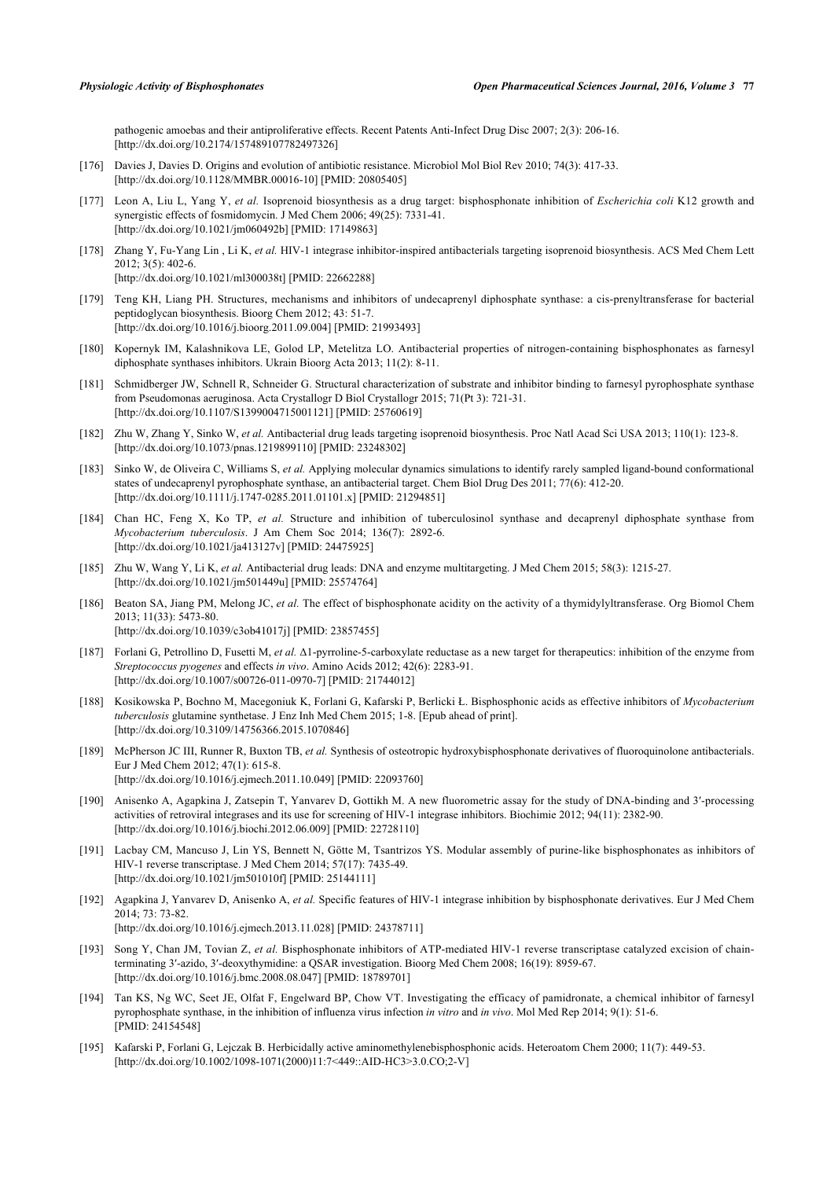pathogenic amoebas and their antiproliferative effects. Recent Patents Anti-Infect Drug Disc 2007; 2(3): 206-16. [\[http://dx.doi.org/10.2174/157489107782497326\]](http://dx.doi.org/10.2174/157489107782497326)

- <span id="page-21-0"></span>[176] Davies J, Davies D. Origins and evolution of antibiotic resistance. Microbiol Mol Biol Rev 2010; 74(3): 417-33. [\[http://dx.doi.org/10.1128/MMBR.00016-10](http://dx.doi.org/10.1128/MMBR.00016-10)] [PMID: [20805405\]](http://www.ncbi.nlm.nih.gov/pubmed/20805405)
- <span id="page-21-1"></span>[177] Leon A, Liu L, Yang Y, *et al.* Isoprenoid biosynthesis as a drug target: bisphosphonate inhibition of *Escherichia coli* K12 growth and synergistic effects of fosmidomycin. J Med Chem 2006; 49(25): 7331-41. [\[http://dx.doi.org/10.1021/jm060492b](http://dx.doi.org/10.1021/jm060492b)] [PMID: [17149863\]](http://www.ncbi.nlm.nih.gov/pubmed/17149863)
- <span id="page-21-12"></span>[178] Zhang Y, Fu-Yang Lin , Li K, *et al.* HIV-1 integrase inhibitor-inspired antibacterials targeting isoprenoid biosynthesis. ACS Med Chem Lett 2012; 3(5): 402-6. [\[http://dx.doi.org/10.1021/ml300038t](http://dx.doi.org/10.1021/ml300038t)] [PMID: [22662288](http://www.ncbi.nlm.nih.gov/pubmed/22662288)]
- [179] Teng KH, Liang PH. Structures, mechanisms and inhibitors of undecaprenyl diphosphate synthase: a cis-prenyltransferase for bacterial peptidoglycan biosynthesis. Bioorg Chem 2012; 43: 51-7. [\[http://dx.doi.org/10.1016/j.bioorg.2011.09.004\]](http://dx.doi.org/10.1016/j.bioorg.2011.09.004) [PMID: [21993493](http://www.ncbi.nlm.nih.gov/pubmed/21993493)]
- <span id="page-21-2"></span>[180] Kopernyk IM, Kalashnikova LE, Golod LP, Metelitza LO. Antibacterial properties of nitrogen-containing bisphosphonates as farnesyl diphosphate synthases inhibitors. Ukrain Bioorg Acta 2013; 11(2): 8-11.
- <span id="page-21-3"></span>[181] Schmidberger JW, Schnell R, Schneider G. Structural characterization of substrate and inhibitor binding to farnesyl pyrophosphate synthase from Pseudomonas aeruginosa. Acta Crystallogr D Biol Crystallogr 2015; 71(Pt 3): 721-31. [\[http://dx.doi.org/10.1107/S1399004715001121](http://dx.doi.org/10.1107/S1399004715001121)] [PMID: [25760619\]](http://www.ncbi.nlm.nih.gov/pubmed/25760619)
- <span id="page-21-4"></span>[182] Zhu W, Zhang Y, Sinko W, *et al.* Antibacterial drug leads targeting isoprenoid biosynthesis. Proc Natl Acad Sci USA 2013; 110(1): 123-8. [\[http://dx.doi.org/10.1073/pnas.1219899110](http://dx.doi.org/10.1073/pnas.1219899110)] [PMID: [23248302](http://www.ncbi.nlm.nih.gov/pubmed/23248302)]
- <span id="page-21-5"></span>[183] Sinko W, de Oliveira C, Williams S, *et al.* Applying molecular dynamics simulations to identify rarely sampled ligand-bound conformational states of undecaprenyl pyrophosphate synthase, an antibacterial target. Chem Biol Drug Des 2011; 77(6): 412-20. [\[http://dx.doi.org/10.1111/j.1747-0285.2011.01101.x\]](http://dx.doi.org/10.1111/j.1747-0285.2011.01101.x) [PMID: [21294851](http://www.ncbi.nlm.nih.gov/pubmed/21294851)]
- <span id="page-21-6"></span>[184] Chan HC, Feng X, Ko TP, *et al.* Structure and inhibition of tuberculosinol synthase and decaprenyl diphosphate synthase from *Mycobacterium tuberculosis*. J Am Chem Soc 2014; 136(7): 2892-6. [\[http://dx.doi.org/10.1021/ja413127v\]](http://dx.doi.org/10.1021/ja413127v) [PMID: [24475925](http://www.ncbi.nlm.nih.gov/pubmed/24475925)]
- <span id="page-21-7"></span>[185] Zhu W, Wang Y, Li K, *et al.* Antibacterial drug leads: DNA and enzyme multitargeting. J Med Chem 2015; 58(3): 1215-27. [\[http://dx.doi.org/10.1021/jm501449u](http://dx.doi.org/10.1021/jm501449u)] [PMID: [25574764\]](http://www.ncbi.nlm.nih.gov/pubmed/25574764)
- <span id="page-21-8"></span>[186] Beaton SA, Jiang PM, Melong JC, *et al.* The effect of bisphosphonate acidity on the activity of a thymidylyltransferase. Org Biomol Chem 2013; 11(33): 5473-80. [\[http://dx.doi.org/10.1039/c3ob41017j\]](http://dx.doi.org/10.1039/c3ob41017j) [PMID: [23857455](http://www.ncbi.nlm.nih.gov/pubmed/23857455)]
- <span id="page-21-9"></span>[187] Forlani G, Petrollino D, Fusetti M, *et al.* Δ1-pyrroline-5-carboxylate reductase as a new target for therapeutics: inhibition of the enzyme from *Streptococcus pyogenes* and effects *in vivo*. Amino Acids 2012; 42(6): 2283-91. [\[http://dx.doi.org/10.1007/s00726-011-0970-7\]](http://dx.doi.org/10.1007/s00726-011-0970-7) [PMID: [21744012](http://www.ncbi.nlm.nih.gov/pubmed/21744012)]
- <span id="page-21-10"></span>[188] Kosikowska P, Bochno M, Macegoniuk K, Forlani G, Kafarski P, Berlicki Ł. Bisphosphonic acids as effective inhibitors of *Mycobacterium tuberculosis* glutamine synthetase. J Enz Inh Med Chem 2015; 1-8. [Epub ahead of print]. [\[http://dx.doi.org/10.3109/14756366.2015.1070846\]](http://dx.doi.org/10.3109/14756366.2015.1070846)
- <span id="page-21-11"></span>[189] McPherson JC III, Runner R, Buxton TB, *et al.* Synthesis of osteotropic hydroxybisphosphonate derivatives of fluoroquinolone antibacterials. Eur J Med Chem 2012; 47(1): 615-8. [\[http://dx.doi.org/10.1016/j.ejmech.2011.10.049](http://dx.doi.org/10.1016/j.ejmech.2011.10.049)] [PMID: [22093760\]](http://www.ncbi.nlm.nih.gov/pubmed/22093760)
- <span id="page-21-13"></span>[190] Anisenko A, Agapkina J, Zatsepin T, Yanvarev D, Gottikh M. A new fluorometric assay for the study of DNA-binding and 3′-processing activities of retroviral integrases and its use for screening of HIV-1 integrase inhibitors. Biochimie 2012; 94(11): 2382-90. [\[http://dx.doi.org/10.1016/j.biochi.2012.06.009](http://dx.doi.org/10.1016/j.biochi.2012.06.009)] [PMID: [22728110\]](http://www.ncbi.nlm.nih.gov/pubmed/22728110)
- <span id="page-21-15"></span>[191] Lacbay CM, Mancuso J, Lin YS, Bennett N, Götte M, Tsantrizos YS. Modular assembly of purine-like bisphosphonates as inhibitors of HIV-1 reverse transcriptase. J Med Chem 2014; 57(17): 7435-49. [\[http://dx.doi.org/10.1021/jm501010f\]](http://dx.doi.org/10.1021/jm501010f) [PMID: [25144111](http://www.ncbi.nlm.nih.gov/pubmed/25144111)]
- <span id="page-21-14"></span>[192] Agapkina J, Yanvarev D, Anisenko A, *et al.* Specific features of HIV-1 integrase inhibition by bisphosphonate derivatives. Eur J Med Chem 2014; 73: 73-82. [\[http://dx.doi.org/10.1016/j.ejmech.2013.11.028](http://dx.doi.org/10.1016/j.ejmech.2013.11.028)] [PMID: [24378711\]](http://www.ncbi.nlm.nih.gov/pubmed/24378711)
- <span id="page-21-16"></span>[193] Song Y, Chan JM, Tovian Z, *et al.* Bisphosphonate inhibitors of ATP-mediated HIV-1 reverse transcriptase catalyzed excision of chainterminating 3′-azido, 3′-deoxythymidine: a QSAR investigation. Bioorg Med Chem 2008; 16(19): 8959-67. [\[http://dx.doi.org/10.1016/j.bmc.2008.08.047\]](http://dx.doi.org/10.1016/j.bmc.2008.08.047) [PMID: [18789701](http://www.ncbi.nlm.nih.gov/pubmed/18789701)]
- <span id="page-21-17"></span>[194] Tan KS, Ng WC, Seet JE, Olfat F, Engelward BP, Chow VT. Investigating the efficacy of pamidronate, a chemical inhibitor of farnesyl pyrophosphate synthase, in the inhibition of influenza virus infection *in vitro* and *in vivo*. Mol Med Rep 2014; 9(1): 51-6. [PMID: [24154548\]](http://www.ncbi.nlm.nih.gov/pubmed/24154548)
- <span id="page-21-18"></span>[195] Kafarski P, Forlani G, Lejczak B. Herbicidally active aminomethylenebisphosphonic acids. Heteroatom Chem 2000; 11(7): 449-53. [\[http://dx.doi.org/10.1002/1098-1071\(2000\)11:7<449::AID-HC3>3.0.CO;2-V](http://dx.doi.org/10.1002/1098-1071(2000)11:7<449::AID-HC3>3.0.CO;2-V)]